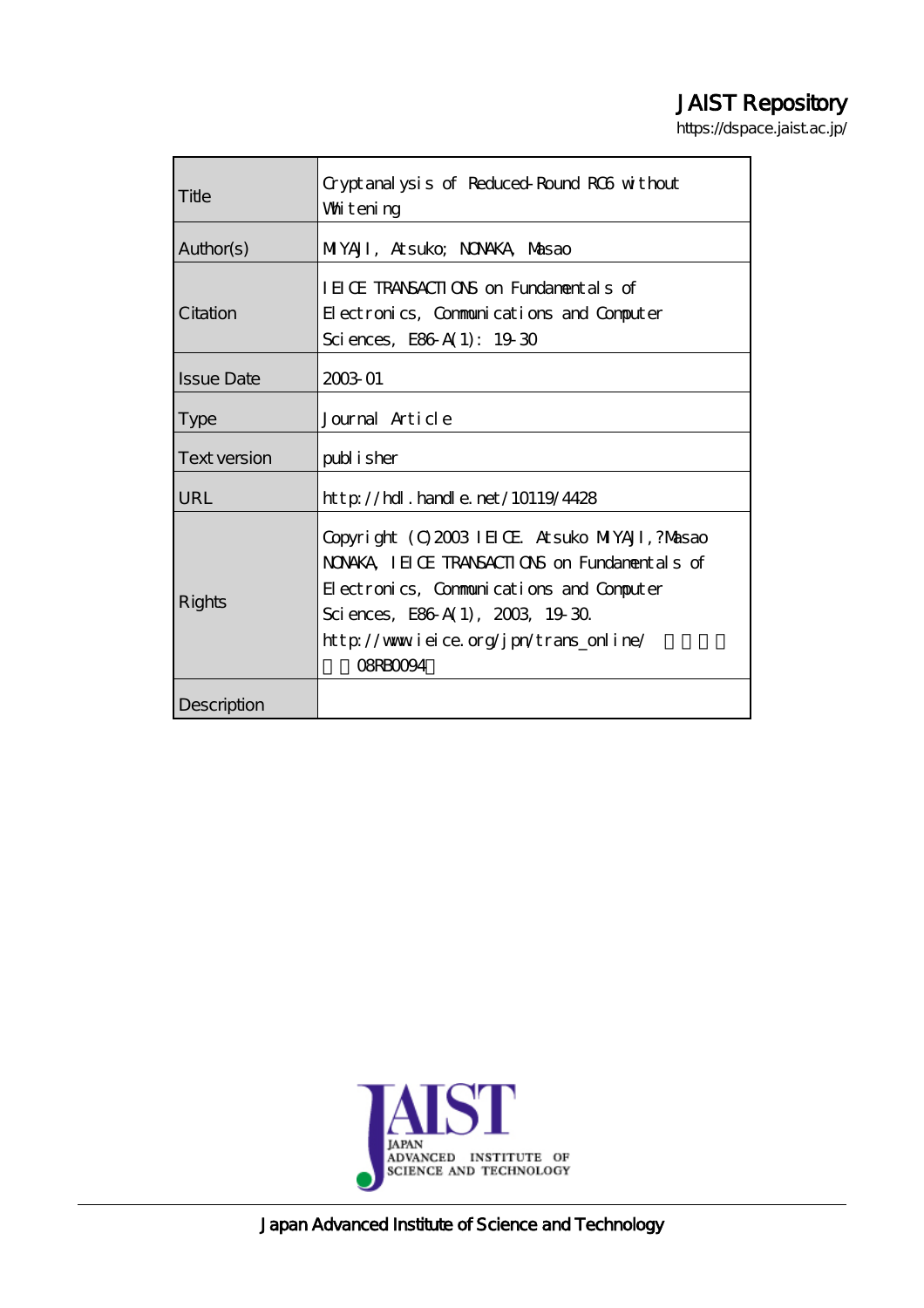# JAIST Repository

https://dspace.jaist.ac.jp/

| Title             | Cryptanalysis of Reduced-Round RC6 without<br>Whitening                                                                                                                                                                                   |
|-------------------|-------------------------------------------------------------------------------------------------------------------------------------------------------------------------------------------------------------------------------------------|
| Author(s)         | MIYAJI, Atsuko; NONAKA, Masao                                                                                                                                                                                                             |
| Citation          | IEICE TRANSACTIONS on Fundamentals of<br>Electronics, Communications and Computer<br>Sciences, E86 A(1): $1930$                                                                                                                           |
| <b>Issue Date</b> | 2003-01                                                                                                                                                                                                                                   |
| <b>Type</b>       | Journal Article                                                                                                                                                                                                                           |
| Text version      | publisher                                                                                                                                                                                                                                 |
| URL               | $http$ // $hdl$ . handle. net/10119/4428                                                                                                                                                                                                  |
| Rights            | Copyright (C) 2003 IEIOE Atsuko MIYAJI, ?Masao<br>NONKA IEICE TRANSACTIONS on Fundamentals of<br>Electronics, Communications and Computer<br>Sciences, E86 A(1), 2003, 1930.<br>http://www.ieice.org/jpn/trans_online/<br><b>OSRBOO94</b> |
| Description       |                                                                                                                                                                                                                                           |



Japan Advanced Institute of Science and Technology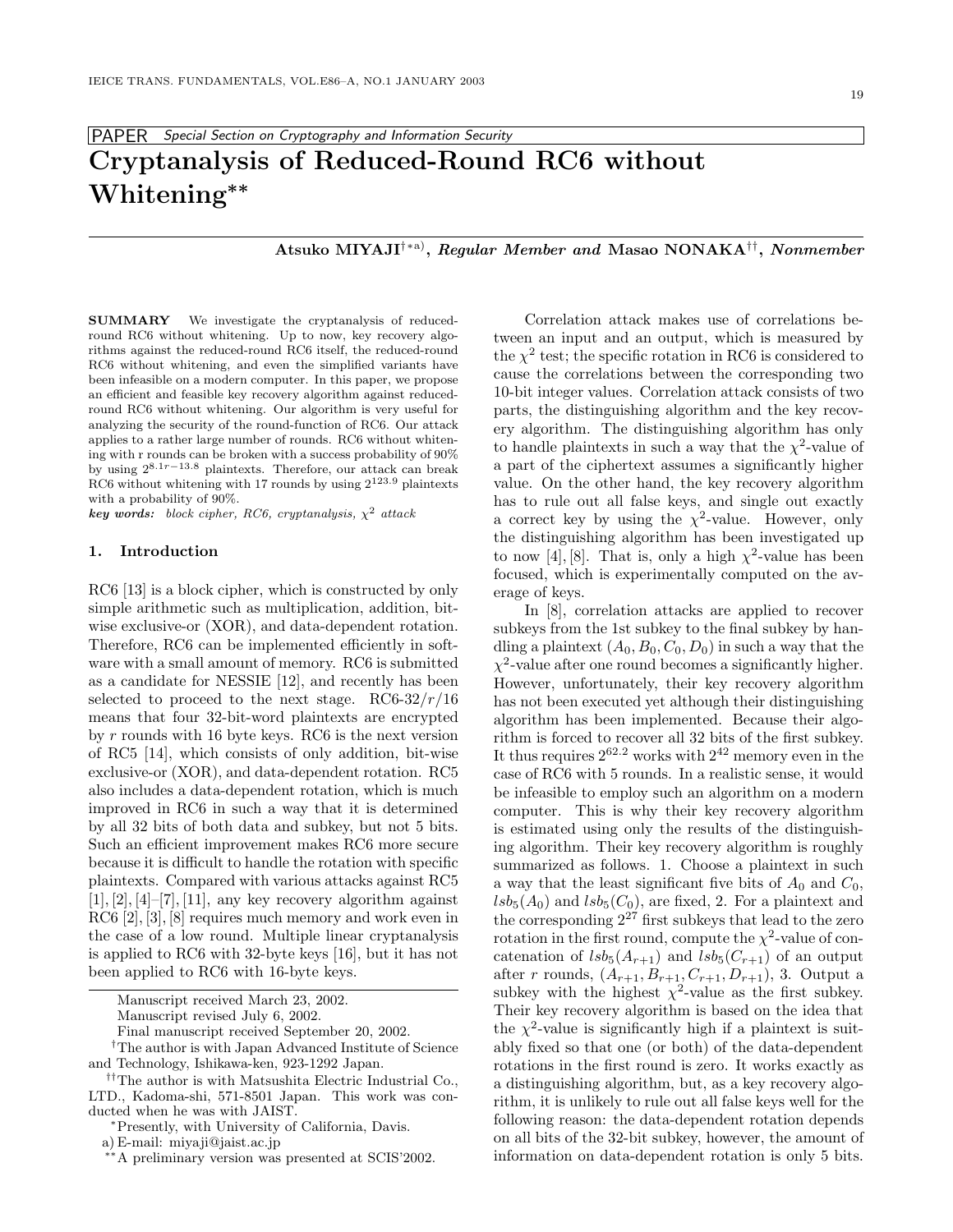# PAPER *Special Section on Cryptography and Information Security* **Cryptanalysis of Reduced-Round RC6 without Whitening***∗∗*

**Atsuko MIYAJI**†∗a)**,** *Regular Member and* **Masao NONAKA**††**,** *Nonmember*

**SUMMARY** We investigate the cryptanalysis of reduced-<br>round RC6 without whitening. Up to now, key recovery algorithms against the reduced-round RC6 itself, the reduced-round RC6 without whitening, and even the simplified variants have been infeasible on a modern computer. In this paper, we propose an efficient and feasible key recovery algorithm against reducedround RC6 without whitening. Our algorithm is very useful for analyzing the security of the round-function of RC6. Our attack applies to a rather large number of rounds. RC6 without whitening with r rounds can be broken with a success probability of 90% by using 28*.*1*r*−13*.*<sup>8</sup> plaintexts. Therefore, our attack can break RC6 without whitening with 17 rounds by using 2123*.*<sup>9</sup> plaintexts with a probability of 90%.

 $key words: block cipher, RC6, cryptanalysis, \chi^2 attacks$ 

# **1. Introduction**

RC6 [13] is a block cipher, which is constructed by only simple arithmetic such as multiplication, addition, bitwise exclusive-or (XOR), and data-dependent rotation. Therefore, RC6 can be implemented efficiently in software with a small amount of memory. RC6 is submitted as a candidate for NESSIE [12], and recently has been selected to proceed to the next stage. RC6-32/ $r/16$ means that four 32-bit-word plaintexts are encrypted by  $r$  rounds with 16 byte keys. RC6 is the next version of RC5 [14], which consists of only addition, bit-wise exclusive-or (XOR), and data-dependent rotation. RC5 also includes a data-dependent rotation, which is much improved in RC6 in such a way that it is determined by all 32 bits of both data and subkey, but not 5 bits. Such an efficient improvement makes RC6 more secure because it is difficult to handle the rotation with specific plaintexts. Compared with various attacks against RC5  $[1], [2], [4]$ – $[7], [11],$  any key recovery algorithm against RC6 [2], [3], [8] requires much memory and work even in the case of a low round. Multiple linear cryptanalysis is applied to RC6 with 32-byte keys [16], but it has not been applied to RC6 with 16-byte keys.

Manuscript received March 23, 2002.

Correlation attack makes use of correlations between an input and an output, which is measured by the  $\chi^2$  test; the specific rotation in RC6 is considered to cause the correlations between the corresponding two 10-bit integer values. Correlation attack consists of two parts, the distinguishing algorithm and the key recovery algorithm. The distinguishing algorithm has only to handle plaintexts in such a way that the  $\chi^2$ -value of a part of the ciphertext assumes a significantly higher value. On the other hand, the key recovery algorithm has to rule out all false keys, and single out exactly a correct key by using the  $\chi^2$ -value. However, only the distinguishing algorithm has been investigated up to now [4], [8]. That is, only a high  $\chi^2$ -value has been focused, which is experimentally computed on the average of keys.

In [8], correlation attacks are applied to recover subkeys from the 1st subkey to the final subkey by handling a plaintext  $(A_0, B_0, C_0, D_0)$  in such a way that the  $\chi^2$ -value after one round becomes a significantly higher. However, unfortunately, their key recovery algorithm has not been executed yet although their distinguishing algorithm has been implemented. Because their algorithm is forced to recover all 32 bits of the first subkey. It thus requires  $2^{62.2}$  works with  $2^{42}$  memory even in the case of RC6 with 5 rounds. In a realistic sense, it would be infeasible to employ such an algorithm on a modern computer. This is why their key recovery algorithm is estimated using only the results of the distinguishing algorithm. Their key recovery algorithm is roughly summarized as follows. 1. Choose a plaintext in such a way that the least significant five bits of  $A_0$  and  $C_0$ ,  $lsb_5(A_0)$  and  $lsb_5(C_0)$ , are fixed, 2. For a plaintext and the corresponding  $2^{27}$  first subkeys that lead to the zero rotation in the first round, compute the  $\chi^2$ -value of concatenation of  $lsb_5(A_{r+1})$  and  $lsb_5(C_{r+1})$  of an output after *r* rounds,  $(A_{r+1}, B_{r+1}, C_{r+1}, D_{r+1}),$  3. Output a subkey with the highest  $\chi^2$ -value as the first subkey. Their key recovery algorithm is based on the idea that the  $\chi^2$ -value is significantly high if a plaintext is suitably fixed so that one (or both) of the data-dependent rotations in the first round is zero. It works exactly as a distinguishing algorithm, but, as a key recovery algorithm, it is unlikely to rule out all false keys well for the following reason: the data-dependent rotation depends on all bits of the 32-bit subkey, however, the amount of information on data-dependent rotation is only 5 bits.

Manuscript revised July 6, 2002.

Final manuscript received September 20, 2002.

<sup>†</sup>The author is with Japan Advanced Institute of Science and Technology, Ishikawa-ken, 923-1292 Japan.

<sup>††</sup>The author is with Matsushita Electric Industrial Co., LTD., Kadoma-shi, 571-8501 Japan. This work was conducted when he was with JAIST.

<sup>∗</sup>Presently, with University of California, Davis.

a) E-mail: miyaji@jaist.ac.jp

<sup>∗∗</sup>A preliminary version was presented at SCIS'2002.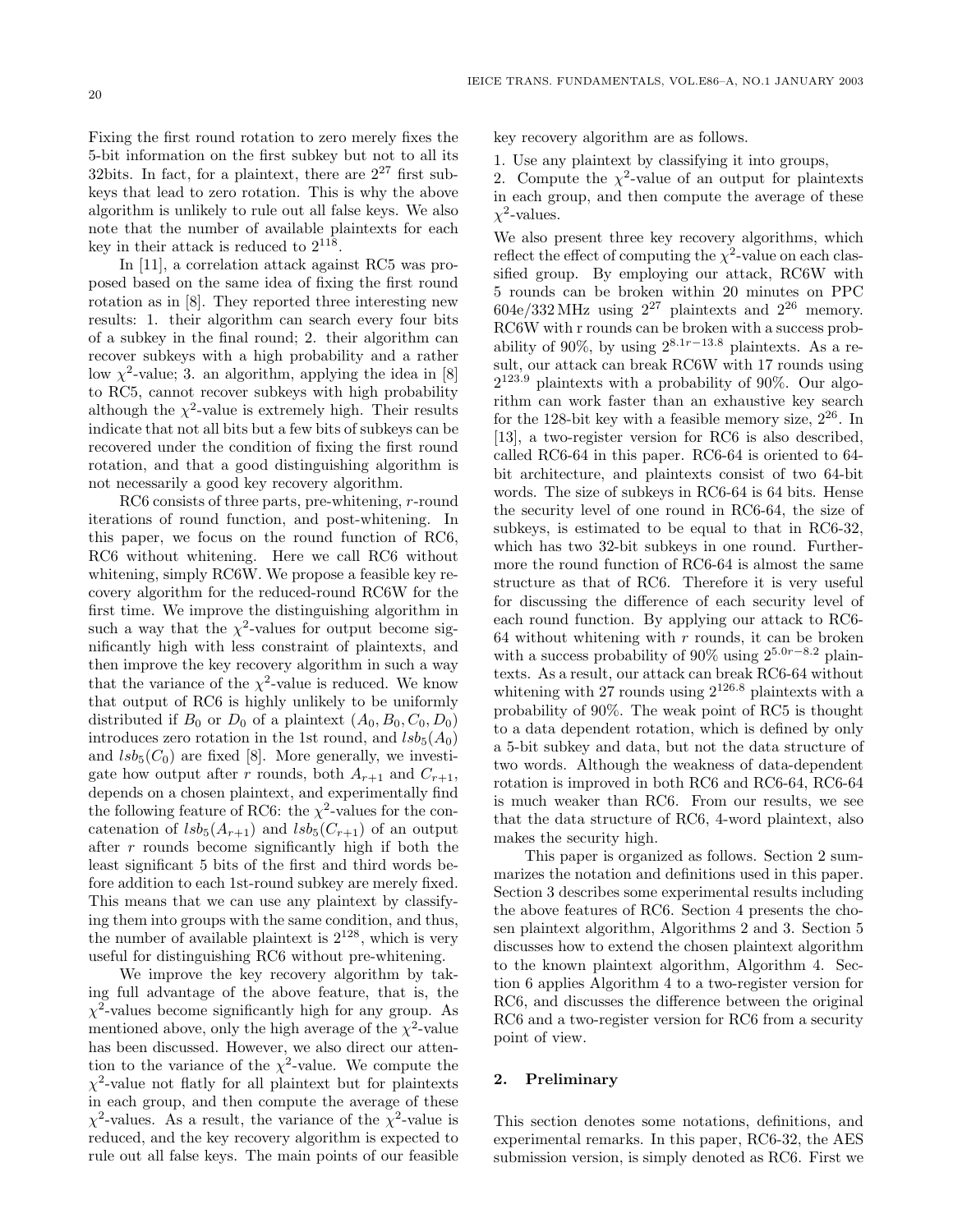Fixing the first round rotation to zero merely fixes the 5-bit information on the first subkey but not to all its 32bits. In fact, for a plaintext, there are  $2^{27}$  first subkeys that lead to zero rotation. This is why the above algorithm is unlikely to rule out all false keys. We also note that the number of available plaintexts for each key in their attack is reduced to  $2^{118}$ .

In [11], a correlation attack against RC5 was proposed based on the same idea of fixing the first round rotation as in [8]. They reported three interesting new results: 1. their algorithm can search every four bits of a subkey in the final round; 2. their algorithm can recover subkeys with a high probability and a rather low  $\chi^2$ -value; 3. an algorithm, applying the idea in [8] to RC5, cannot recover subkeys with high probability although the  $\chi^2$ -value is extremely high. Their results indicate that not all bits but a few bits of subkeys can be recovered under the condition of fixing the first round rotation, and that a good distinguishing algorithm is not necessarily a good key recovery algorithm.

RC6 consists of three parts, pre-whitening, r-round iterations of round function, and post-whitening. In this paper, we focus on the round function of RC6, RC6 without whitening. Here we call RC6 without whitening, simply RC6W. We propose a feasible key recovery algorithm for the reduced-round RC6W for the first time. We improve the distinguishing algorithm in such a way that the  $\chi^2$ -values for output become significantly high with less constraint of plaintexts, and then improve the key recovery algorithm in such a way that the variance of the  $\chi^2$ -value is reduced. We know that output of RC6 is highly unlikely to be uniformly distributed if  $B_0$  or  $D_0$  of a plaintext  $(A_0, B_0, C_0, D_0)$ introduces zero rotation in the 1st round, and  $lsb_5(A_0)$ and  $lsb_5(C_0)$  are fixed [8]. More generally, we investigate how output after r rounds, both  $A_{r+1}$  and  $C_{r+1}$ , depends on a chosen plaintext, and experimentally find the following feature of RC6: the  $\chi^2$ -values for the concatenation of  $lsb_5(A_{r+1})$  and  $lsb_5(C_{r+1})$  of an output after  $r$  rounds become significantly high if both the least significant 5 bits of the first and third words before addition to each 1st-round subkey are merely fixed. This means that we can use any plaintext by classifying them into groups with the same condition, and thus, the number of available plaintext is  $2^{128}$ , which is very useful for distinguishing RC6 without pre-whitening.

We improve the key recovery algorithm by taking full advantage of the above feature, that is, the  $\chi^2$ -values become significantly high for any group. As mentioned above, only the high average of the  $\chi^2$ -value has been discussed. However, we also direct our attention to the variance of the  $\chi^2$ -value. We compute the  $\chi^2$ -value not flatly for all plaintext but for plaintexts in each group, and then compute the average of these  $\chi^2$ -values. As a result, the variance of the  $\chi^2$ -value is reduced, and the key recovery algorithm is expected to rule out all false keys. The main points of our feasible

key recovery algorithm are as follows.

1. Use any plaintext by classifying it into groups,

2. Compute the  $\chi^2$ -value of an output for plaintexts in each group, and then compute the average of these  $\chi^2$ -values.

We also present three key recovery algorithms, which reflect the effect of computing the  $\chi^2$ -value on each classified group. By employing our attack, RC6W with 5 rounds can be broken within 20 minutes on PPC  $604e/332 MHz$  using  $2^{27}$  plaintexts and  $2^{26}$  memory. RC6W with r rounds can be broken with a success probability of 90%, by using  $2^{8.1r-13.8}$  plaintexts. As a result, our attack can break RC6W with 17 rounds using 2123*.*<sup>9</sup> plaintexts with a probability of 90%. Our algorithm can work faster than an exhaustive key search for the 128-bit key with a feasible memory size,  $2^{26}$ . In [13], a two-register version for RC6 is also described, called RC6-64 in this paper. RC6-64 is oriented to 64 bit architecture, and plaintexts consist of two 64-bit words. The size of subkeys in RC6-64 is 64 bits. Hense the security level of one round in RC6-64, the size of subkeys, is estimated to be equal to that in RC6-32, which has two 32-bit subkeys in one round. Furthermore the round function of RC6-64 is almost the same structure as that of RC6. Therefore it is very useful for discussing the difference of each security level of each round function. By applying our attack to RC6- 64 without whitening with  $r$  rounds, it can be broken with a success probability of 90% using 25*.*0*r*−8*.*<sup>2</sup> plaintexts. As a result, our attack can break RC6-64 without whitening with 27 rounds using 2126*.*<sup>8</sup> plaintexts with a probability of 90%. The weak point of RC5 is thought to a data dependent rotation, which is defined by only a 5-bit subkey and data, but not the data structure of two words. Although the weakness of data-dependent rotation is improved in both RC6 and RC6-64, RC6-64 is much weaker than RC6. From our results, we see that the data structure of RC6, 4-word plaintext, also makes the security high.

This paper is organized as follows. Section 2 summarizes the notation and definitions used in this paper. Section 3 describes some experimental results including the above features of RC6. Section 4 presents the chosen plaintext algorithm, Algorithms 2 and 3. Section 5 discusses how to extend the chosen plaintext algorithm to the known plaintext algorithm, Algorithm 4. Section 6 applies Algorithm 4 to a two-register version for RC6, and discusses the difference between the original RC6 and a two-register version for RC6 from a security point of view.

# **2. Preliminary**

This section denotes some notations, definitions, and experimental remarks. In this paper, RC6-32, the AES submission version, is simply denoted as RC6. First we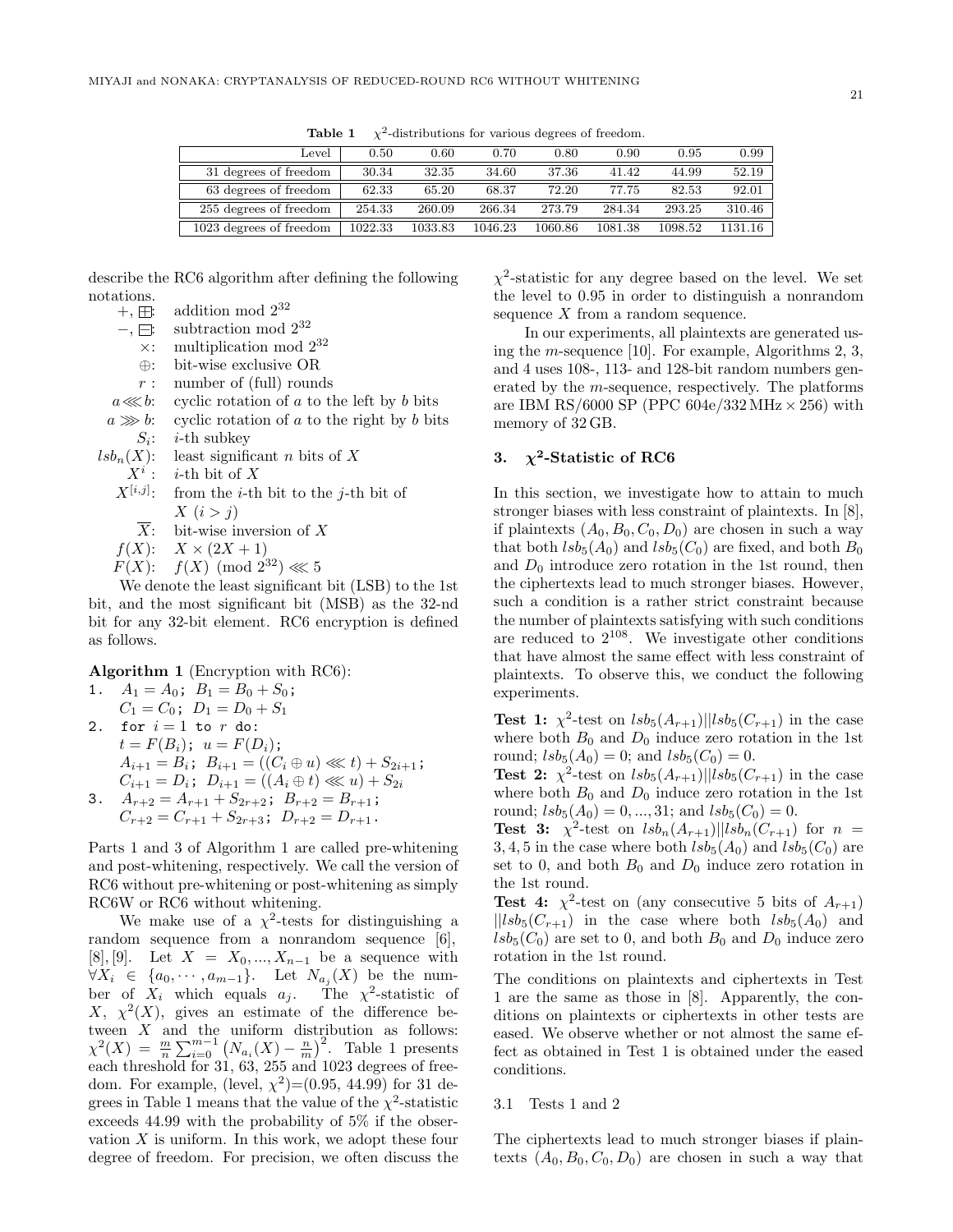| Level                   | 0.50    | 0.60    | 0.70    | 0.80    | 0.90    | 0.95    | 0.99    |
|-------------------------|---------|---------|---------|---------|---------|---------|---------|
| 31 degrees of freedom   | 30.34   | 32.35   | 34.60   | 37.36   | 41.42   | 44.99   | 52.19   |
| 63 degrees of freedom   | 62.33   | 65.20   | 68.37   | 72.20   | 77.75   | 82.53   | 92.01   |
| 255 degrees of freedom  | 254.33  | 260.09  | 266.34  | 273.79  | 284.34  | 293.25  | 310.46  |
| 1023 degrees of freedom | 1022.33 | 1033.83 | 1046.23 | 1060.86 | 1081.38 | 1098.52 | 1131.16 |

**Table 1**  $\chi^2$ -distributions for various degrees of freedom.

describe the RC6 algorithm after defining the following notations.<br>+,  $\boxplus$ :

addition mod  $2^{32}$  $-$ ,  $⊟$ : subtraction mod 2<sup>32</sup>  $\times$ : multiplication mod  $2^{32}$ ⊕: bit-wise exclusive OR  $r:$  number of (full) rounds  $a \lll b$ : cyclic rotation of a to the left by b bits  $a \gg b$ : cyclic rotation of a to the right by b bits  $S_i$ : *i*-th subkey  $lsb_n(X)$ : least significant *n* bits of X  $X^i$ : *i*-th bit of X  $X^{[i,j]}$ : from the *i*-th bit to the *j*-th bit of  $X(i>j)$ 

 $\overline{X}$ : bit-wise inversion of X

 $f(X)$ :  $X \times (2X + 1)$ 

 $F(X)$ :  $f(X) \pmod{2^{32}} \ll 5$ 

We denote the least significant bit (LSB) to the 1st bit, and the most significant bit (MSB) as the 32-nd bit for any 32-bit element. RC6 encryption is defined as follows.

**Algorithm 1** (Encryption with RC6):

1. 
$$
A_1 = A_0
$$
;  $B_1 = B_0 + S_0$ ;  
\n $C_1 = C_0$ ;  $D_1 = D_0 + S_1$   
\n2. for  $i = 1$  to  $r$  do:  
\n $t = F(B_i)$ ;  $u = F(D_i)$ ;  
\n $A_{i+1} = B_i$ ;  $B_{i+1} = ((C_i \oplus u) \lll t) + S_{2i+1}$ ;  
\n $C_{i+1} = D_i$ ;  $D_{i+1} = ((A_i \oplus t) \lll u) + S_{2i}$   
\n3.  $A_{r+2} = A_{r+1} + S_{2r+2}$ ;  $B_{r+2} = B_{r+1}$ ;

 $C_{r+2} = C_{r+1} + S_{2r+3}$ ;  $D_{r+2} = D_{r+1}$ .

Parts 1 and 3 of Algorithm 1 are called pre-whitening and post-whitening, respectively. We call the version of RC6 without pre-whitening or post-whitening as simply RC6W or RC6 without whitening.

We make use of a  $\chi^2$ -tests for distinguishing a random sequence from a nonrandom sequence [6], [8], [9]. Let  $X = X_0, ..., X_{n-1}$  be a sequence with  $\forall X_i \in \{a_0, \cdots, a_{m-1}\}.$  Let  $N_{a_j}(X)$  be the number of  $X_i$  which equals  $a_j$ . The  $\chi^2$ -statistic of  $X, \chi^2(X)$ , gives an estimate of the difference between  $X$  and the uniform distribution as follows:  $\chi^2(X) = \frac{m}{n} \sum_{i=0}^{m-1} (N_{a_i}(X) - \frac{n}{m})^2$ . Table 1 presents each threshold for 31, 63, 255 and 1023 degrees of freedom. For example, (level,  $\chi^2$ )=(0.95, 44.99) for 31 degrees in Table 1 means that the value of the  $\chi^2$ -statistic exceeds 44.99 with the probability of 5% if the observation  $X$  is uniform. In this work, we adopt these four degree of freedom. For precision, we often discuss the

 $\chi^2$ -statistic for any degree based on the level. We set the level to 0.95 in order to distinguish a nonrandom sequence  $X$  from a random sequence.

In our experiments, all plaintexts are generated using the m-sequence [10]. For example, Algorithms 2, 3, and 4 uses 108-, 113- and 128-bit random numbers generated by the m-sequence, respectively. The platforms are IBM RS/6000 SP (PPC  $604e/332 MHz \times 256$ ) with memory of 32 GB.

# **3.**  $\chi^2$ -Statistic of RC6

In this section, we investigate how to attain to much stronger biases with less constraint of plaintexts. In [8], if plaintexts  $(A_0, B_0, C_0, D_0)$  are chosen in such a way that both  $lsb_5(A_0)$  and  $lsb_5(C_0)$  are fixed, and both  $B_0$ and  $D_0$  introduce zero rotation in the 1st round, then the ciphertexts lead to much stronger biases. However, such a condition is a rather strict constraint because the number of plaintexts satisfying with such conditions are reduced to  $2^{108}$ . We investigate other conditions that have almost the same effect with less constraint of plaintexts. To observe this, we conduct the following experiments.

**Test 1:**  $\chi^2$ -test on  $lsb_5(A_{r+1})||lsb_5(C_{r+1})$  in the case where both  $B_0$  and  $D_0$  induce zero rotation in the 1st round;  $lsb_5(A_0) = 0$ ; and  $lsb_5(C_0) = 0$ .

**Test 2:**  $\chi^2$ -test on  $lsb_5(A_{r+1})||lsb_5(C_{r+1})$  in the case where both  $B_0$  and  $D_0$  induce zero rotation in the 1st round;  $lsb_5(A_0) = 0, ..., 31$ ; and  $lsb_5(C_0) = 0$ .

**Test 3:**  $\chi^2$ -test on  $lsb_n(A_{r+1})||lsb_n(C_{r+1})$  for  $n =$ 3, 4, 5 in the case where both  $lsb_5(A_0)$  and  $lsb_5(C_0)$  are set to 0, and both  $B_0$  and  $D_0$  induce zero rotation in the 1st round.

**Test 4:**  $\chi^2$ -test on (any consecutive 5 bits of  $A_{r+1}$ )  $||lsb<sub>5</sub>(C<sub>r+1</sub>)$  in the case where both  $lsb<sub>5</sub>(A<sub>0</sub>)$  and  $lsb<sub>5</sub>(C<sub>0</sub>)$  are set to 0, and both  $B<sub>0</sub>$  and  $D<sub>0</sub>$  induce zero rotation in the 1st round.

The conditions on plaintexts and ciphertexts in Test 1 are the same as those in [8]. Apparently, the conditions on plaintexts or ciphertexts in other tests are eased. We observe whether or not almost the same effect as obtained in Test 1 is obtained under the eased conditions.

### 3.1 Tests 1 and 2

The ciphertexts lead to much stronger biases if plaintexts  $(A_0, B_0, C_0, D_0)$  are chosen in such a way that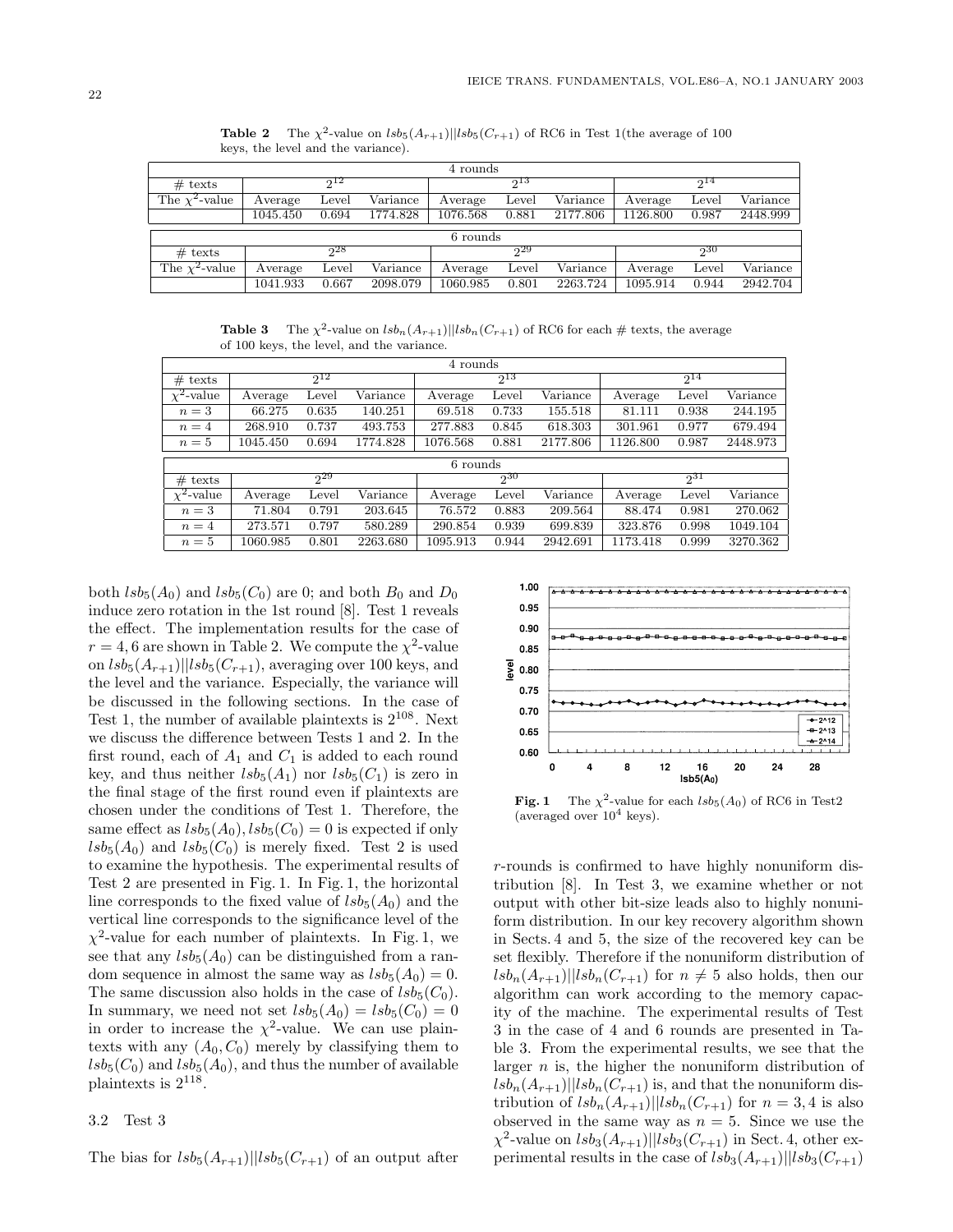| 4 rounds            |          |       |          |          |          |          |          |       |          |
|---------------------|----------|-------|----------|----------|----------|----------|----------|-------|----------|
| $#$ texts           |          | 212   |          |          | $2^{13}$ |          |          | 214   |          |
| The $\chi^2$ -value | Average  | Level | Variance | Average  | Level    | Variance | Average  | Level | Variance |
|                     | 1045.450 | 0.694 | 1774.828 | 1076.568 | 0.881    | 2177.806 | 1126.800 | 0.987 | 2448.999 |
|                     |          |       |          | 6 rounds |          |          |          |       |          |
| $#$ texts           |          | 28    |          |          | 229      |          |          | 230   |          |
| The $\chi^2$ -value | Average  | Level | Variance | Average  | Level    | Variance | Average  | Level | Variance |
|                     | 1041.933 | 0.667 | 2098.079 | 1060.985 | 0.801    | 2263.724 | 1095.914 | 0.944 | 2942.704 |

**Table 2** The  $\chi^2$ -value on  $lsb_5(A_{r+1})$ || $lsb_5(C_{r+1})$  of RC6 in Test 1(the average of 100 keys, the level and the variance).

**Table 3** The  $\chi^2$ -value on  $lsh_n(A_{r+1})$ || $lsh_n(C_{r+1})$  of RC6 for each # texts, the average of 100 keys, the level, and the variance.

|                 | 4 rounds |          |          |          |          |          |          |          |          |  |
|-----------------|----------|----------|----------|----------|----------|----------|----------|----------|----------|--|
| $#$ texts       |          | $2^{12}$ |          |          | $2^{13}$ |          |          | $2^{14}$ |          |  |
| $\chi^2$ -value | Average  | Level    | Variance | Average  | Level    | Variance | Average  | Level    | Variance |  |
| $n=3$           | 66.275   | 0.635    | 140.251  | 69.518   | 0.733    | 155.518  | 81.111   | 0.938    | 244.195  |  |
| $n=4$           | 268.910  | 0.737    | 493.753  | 277.883  | 0.845    | 618.303  | 301.961  | 0.977    | 679.494  |  |
| $n=5$           | 1045.450 | 0.694    | 1774.828 | 1076.568 | 0.881    | 2177.806 | 1126.800 | 0.987    | 2448.973 |  |
|                 |          | 6 rounds |          |          |          |          |          |          |          |  |
|                 |          |          |          |          |          |          |          |          |          |  |
| $#$ texts       |          | 229      |          |          | $2^{30}$ |          |          | 231      |          |  |
| $\chi^2$ -value | Average  | Level    | Variance | Average  | Level    | Variance | Average  | Level    | Variance |  |
| $n=3$           | 71.804   | 0.791    | 203.645  | 76.572   | 0.883    | 209.564  | 88.474   | 0.981    | 270.062  |  |
| $n=4$           | 273.571  | 0.797    | 580.289  | 290.854  | 0.939    | 699.839  | 323.876  | 0.998    | 1049.104 |  |

both  $lsb_5(A_0)$  and  $lsb_5(C_0)$  are 0; and both  $B_0$  and  $D_0$ induce zero rotation in the 1st round [8]. Test 1 reveals the effect. The implementation results for the case of  $r = 4, 6$  are shown in Table 2. We compute the  $\chi^2$ -value on  $lsb_5(A_{r+1})||lsb_5(C_{r+1}),$  averaging over 100 keys, and the level and the variance. Especially, the variance will be discussed in the following sections. In the case of Test 1, the number of available plaintexts is  $2^{108}$ . Next we discuss the difference between Tests 1 and 2. In the first round, each of  $A_1$  and  $C_1$  is added to each round key, and thus neither  $lsb_5(A_1)$  nor  $lsb_5(C_1)$  is zero in the final stage of the first round even if plaintexts are chosen under the conditions of Test 1. Therefore, the same effect as  $lsb_5(A_0), lsb_5(C_0) = 0$  is expected if only  $lsb_5(A_0)$  and  $lsb_5(C_0)$  is merely fixed. Test 2 is used to examine the hypothesis. The experimental results of Test 2 are presented in Fig. 1. In Fig. 1, the horizontal line corresponds to the fixed value of  $lsb<sub>5</sub>(A<sub>0</sub>)$  and the vertical line corresponds to the significance level of the  $\chi^2$ -value for each number of plaintexts. In Fig. 1, we see that any  $lsb_5(A_0)$  can be distinguished from a random sequence in almost the same way as  $lsb_5(A_0) = 0$ . The same discussion also holds in the case of  $lsb<sub>5</sub>(C<sub>0</sub>)$ . In summary, we need not set  $lsb_5(A_0) = lsb_5(C_0) = 0$ in order to increase the  $\chi^2$ -value. We can use plaintexts with any  $(A_0, C_0)$  merely by classifying them to  $lsb_5(C_0)$  and  $lsb_5(A_0)$ , and thus the number of available plaintexts is 2118.

#### 3.2 Test 3

The bias for  $lsb_5(A_{r+1})||lsb_5(C_{r+1})$  of an output after



**Fig. 1** The  $\chi^2$ -value for each  $\text{lsb}_5(A_0)$  of RC6 in Test2 (averaged over  $10^4$  keys).

r-rounds is confirmed to have highly nonuniform distribution [8]. In Test 3, we examine whether or not output with other bit-size leads also to highly nonuniform distribution. In our key recovery algorithm shown in Sects. 4 and 5, the size of the recovered key can be set flexibly. Therefore if the nonuniform distribution of  $lsb_n(A_{r+1})||lsb_n(C_{r+1})$  for  $n \neq 5$  also holds, then our algorithm can work according to the memory capacity of the machine. The experimental results of Test 3 in the case of 4 and 6 rounds are presented in Table 3. From the experimental results, we see that the larger  $n$  is, the higher the nonuniform distribution of  $lsb_n(A_{r+1})||lsb_n(C_{r+1})$  is, and that the nonuniform distribution of  $lsb_n(A_{r+1})||lsb_n(C_{r+1})$  for  $n = 3, 4$  is also observed in the same way as  $n = 5$ . Since we use the  $\chi^2$ -value on  $lsb_3(A_{r+1})$ || $lsb_3(C_{r+1})$  in Sect. 4, other experimental results in the case of  $lsb_3(A_{r+1})||lsb_3(C_{r+1})$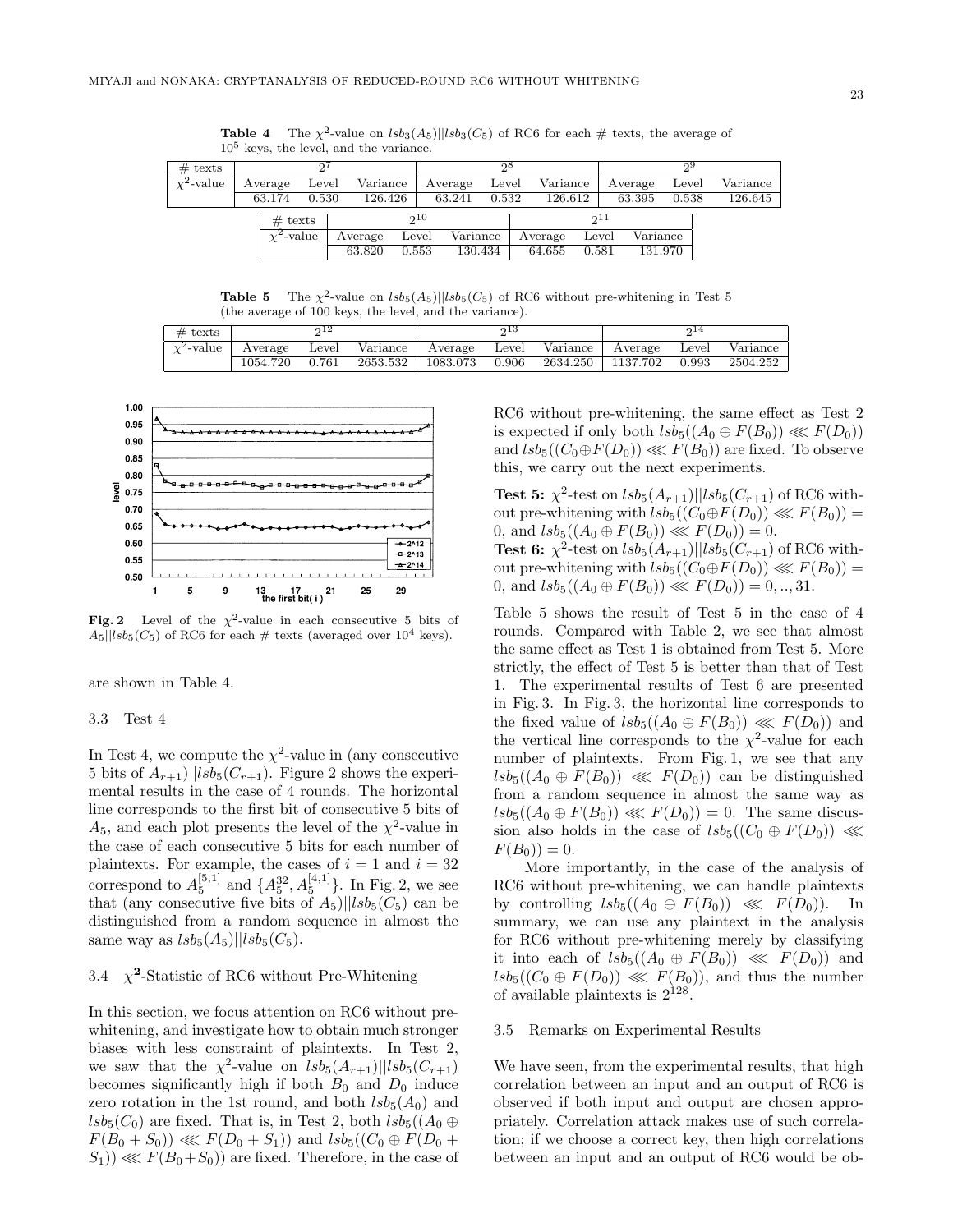| $#$ texts                  |                 |       |          |       |          | റ്റ്    |          |       |          |       |          |
|----------------------------|-----------------|-------|----------|-------|----------|---------|----------|-------|----------|-------|----------|
| $\overline{\chi^2}$ -value | Average         | Level | Variance |       | Average  | Level   | Variance |       | Average  | Level | Variance |
|                            | 63.174          | 0.530 | 126.426  |       | 63.241   | 0.532   | 126.612  |       | 63.395   | 0.538 | 126.645  |
|                            | $#$ texts       |       |          | 010   |          |         |          |       |          |       |          |
|                            | $\chi^2$ -value |       | Average  | Level | Variance |         | Average  | Level | Variance |       |          |
|                            |                 |       | 63.820   | 0.553 |          | 130.434 | 64.655   | 0.581 | 131.970  |       |          |

**Table 4** The  $\chi^2$ -value on  $lsb_3(A_5)||lsb_3(C_5)$  of RC6 for each # texts, the average of 10<sup>5</sup> keys, the level, and the variance.

**Table 5** The  $\chi^2$ -value on  $lsb_5(A_5)||lsb_5(C_5)$  of RC6 without pre-whitening in Test 5 (the average of 100 keys, the level, and the variance).

| $\#$ texts      | າ12      |       |          | ი 13     |       |                   | 214              |       |          |
|-----------------|----------|-------|----------|----------|-------|-------------------|------------------|-------|----------|
| $\chi^2$ -value | Average  | Level | Variance | Average  | Level |                   | Variance Average | Level | Variance |
|                 | 1054.720 | 0.761 | 2653.532 | 1083.073 | 0.906 | 2634.250 1137.702 |                  | 0.993 | 2504.252 |



**Fig. 2** Level of the  $\chi^2$ -value in each consecutive 5 bits of  $A_5||lsb_5(C_5)$  of RC6 for each  $\#$  texts (averaged over 10<sup>4</sup> keys).

are shown in Table 4.

### 3.3 Test 4

In Test 4, we compute the  $\chi^2$ -value in (any consecutive 5 bits of  $A_{r+1}$ )||lsb<sub>5</sub>( $C_{r+1}$ ). Figure 2 shows the experimental results in the case of 4 rounds. The horizontal line corresponds to the first bit of consecutive 5 bits of  $A_5$ , and each plot presents the level of the  $\chi^2$ -value in the case of each consecutive 5 bits for each number of plaintexts. For example, the cases of  $i = 1$  and  $i = 32$ correspond to  $A_5^{[5,1]}$  and  $\{A_5^{32}, A_5^{[4,1]}\}\$ . In Fig. 2, we see that (any consecutive five bits of  $A_5$ )|| $lsb_5(C_5)$  can be distinguished from a random sequence in almost the same way as  $lsb_5(A_5)||lsb_5(C_5)$ .

# 3.4  $\chi^2$ -Statistic of RC6 without Pre-Whitening

In this section, we focus attention on RC6 without prewhitening, and investigate how to obtain much stronger biases with less constraint of plaintexts. In Test 2, we saw that the  $\chi^2$ -value on  $lsb_5(A_{r+1})||lsb_5(C_{r+1})$ becomes significantly high if both  $B_0$  and  $D_0$  induce zero rotation in the 1st round, and both  $lsb<sub>5</sub>(A<sub>0</sub>)$  and  $lsb_5(C_0)$  are fixed. That is, in Test 2, both  $lsb_5((A_0 \oplus$  $F(B_0 + S_0)$   $\ll F(D_0 + S_1)$  and  $lsb_5((C_0 \oplus F(D_0 +$  $(S_1)$ )  $\ll F(B_0+S_0)$  are fixed. Therefore, in the case of RC6 without pre-whitening, the same effect as Test 2 is expected if only both  $lsb_5((A_0 \oplus F(B_0)) \lll F(D_0))$ and  $lsb_5((C_0 \oplus F(D_0)) \lll F(B_0))$  are fixed. To observe this, we carry out the next experiments.

**Test 5:**  $\chi^2$ -test on  $lsb_5(A_{r+1})||lsb_5(C_{r+1})$  of RC6 without pre-whitening with  $lsb_5((C_0 \oplus F(D_0)) \ll F(B_0))$  = 0, and  $lsb_5((A_0 \oplus F(B_0)) \ll F(D_0)) = 0.$ **Test 6:**  $\chi^2$ -test on  $lsb_5(A_{r+1})$ || $lsb_5(C_{r+1})$  of RC6 without pre-whitening with  $lsb_5((C_0 \oplus F(D_0)) \ll F(B_0)) =$ 0, and  $lsb_5((A_0 \oplus F(B_0)) \lll F(D_0)) = 0, ..., 31$ .

Table 5 shows the result of Test 5 in the case of 4 rounds. Compared with Table 2, we see that almost the same effect as Test 1 is obtained from Test 5. More strictly, the effect of Test 5 is better than that of Test 1. The experimental results of Test 6 are presented in Fig. 3. In Fig. 3, the horizontal line corresponds to the fixed value of  $lsb_5((A_0 \oplus F(B_0)) \ll F(D_0))$  and the vertical line corresponds to the  $\chi^2$ -value for each number of plaintexts. From Fig. 1, we see that any  $lsb_5((A_0 \oplus F(B_0)) \ll F(D_0))$  can be distinguished from a random sequence in almost the same way as  $lsb_5((A_0 \oplus F(B_0)) \ll F(D_0)) = 0$ . The same discussion also holds in the case of  $lsb_5((C_0 \oplus F(D_0)) \ll$  $F(B_0) = 0.$ 

More importantly, in the case of the analysis of RC6 without pre-whitening, we can handle plaintexts by controlling  $lsb_5((A_0 \oplus F(B_0)) \ll F(D_0))$ . In summary, we can use any plaintext in the analysis for RC6 without pre-whitening merely by classifying it into each of  $lsb_5((A_0 \oplus F(B_0)) \ll F(D_0))$  and  $lsb_5((C_0 \oplus F(D_0)) \ll F(B_0))$ , and thus the number of available plaintexts is  $2^{128}$ .

#### 3.5 Remarks on Experimental Results

We have seen, from the experimental results, that high correlation between an input and an output of RC6 is observed if both input and output are chosen appropriately. Correlation attack makes use of such correlation; if we choose a correct key, then high correlations between an input and an output of RC6 would be ob-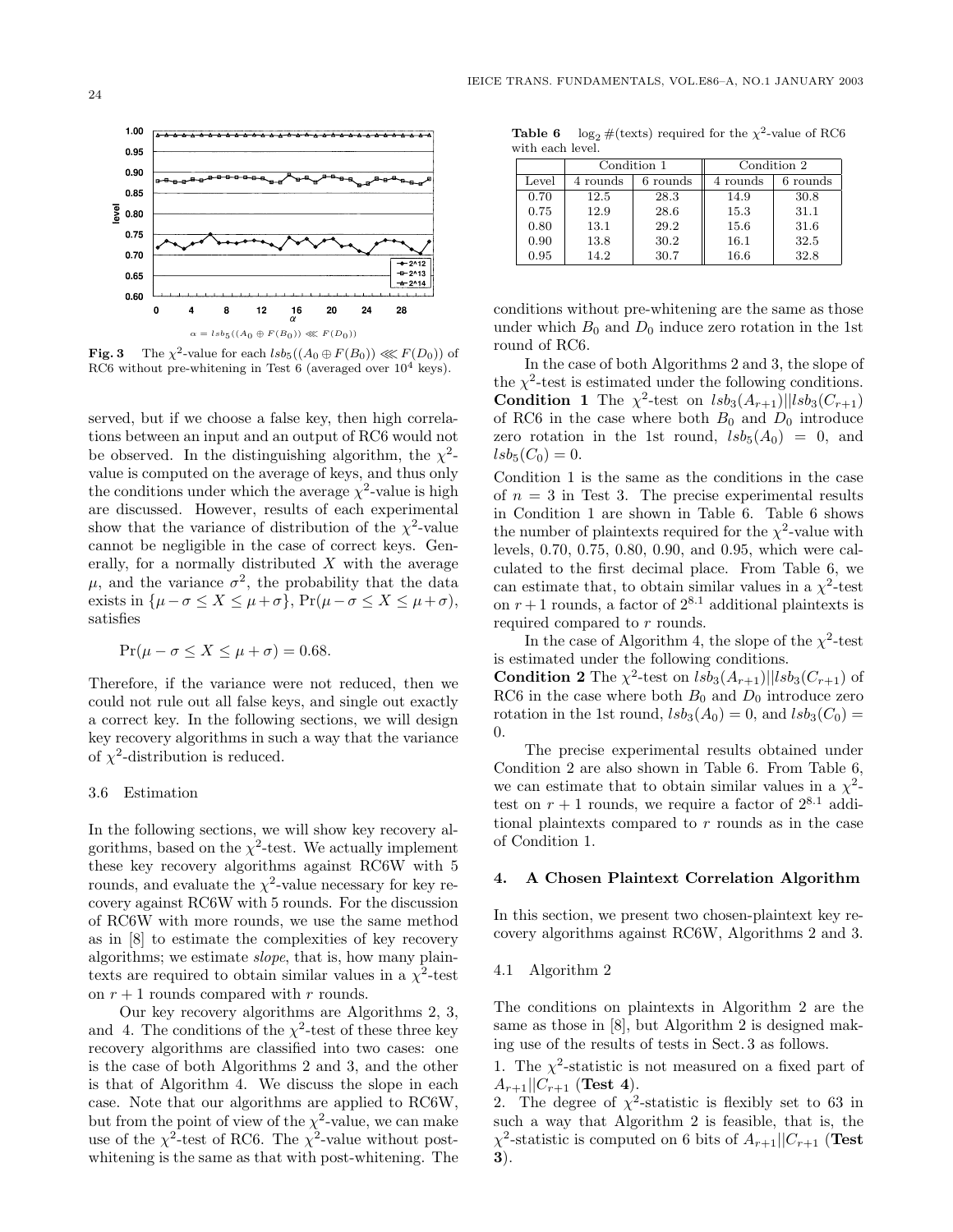

**Fig. 3** The  $\chi^2$ -value for each  $\text{lsb}_5((A_0 \oplus F(B_0)) \ll F(D_0))$  of RC6 without pre-whitening in Test 6 (averaged over  $10^4$  keys).

served, but if we choose a false key, then high correlations between an input and an output of RC6 would not be observed. In the distinguishing algorithm, the  $\chi^2$ value is computed on the average of keys, and thus only the conditions under which the average  $\chi^2$ -value is high are discussed. However, results of each experimental show that the variance of distribution of the  $\chi^2$ -value cannot be negligible in the case of correct keys. Generally, for a normally distributed  $X$  with the average  $\mu$ , and the variance  $\sigma^2$ , the probability that the data exists in  $\{\mu-\sigma \leq X \leq \mu+\sigma\}$ ,  $Pr(\mu-\sigma \leq X \leq \mu+\sigma)$ , satisfies

$$
\Pr(\mu - \sigma \le X \le \mu + \sigma) = 0.68.
$$

Therefore, if the variance were not reduced, then we could not rule out all false keys, and single out exactly a correct key. In the following sections, we will design key recovery algorithms in such a way that the variance of  $\chi^2$ -distribution is reduced.

# 3.6 Estimation

In the following sections, we will show key recovery algorithms, based on the  $\chi^2$ -test. We actually implement these key recovery algorithms against RC6W with 5 rounds, and evaluate the  $\chi^2$ -value necessary for key recovery against RC6W with 5 rounds. For the discussion of RC6W with more rounds, we use the same method as in [8] to estimate the complexities of key recovery algorithms; we estimate *slope*, that is, how many plaintexts are required to obtain similar values in a  $\chi^2$ -test on  $r + 1$  rounds compared with r rounds.

Our key recovery algorithms are Algorithms 2, 3, and 4. The conditions of the  $\chi^2$ -test of these three key recovery algorithms are classified into two cases: one is the case of both Algorithms 2 and 3, and the other is that of Algorithm 4. We discuss the slope in each case. Note that our algorithms are applied to RC6W, but from the point of view of the  $\chi^2$ -value, we can make use of the  $\chi^2$ -test of RC6. The  $\chi^2$ -value without postwhitening is the same as that with post-whitening. The

**Table 6**  $log_2$  #(texts) required for the  $\chi^2$ -value of RC6 with each level.

|       | Condition 1 |          | Condition 2 |          |  |
|-------|-------------|----------|-------------|----------|--|
| Level | 4 rounds    | 6 rounds | 4 rounds    | 6 rounds |  |
| 0.70  | 12.5        | 28.3     | 14.9        | 30.8     |  |
| 0.75  | 12.9        | 28.6     | 15.3        | 31.1     |  |
| 0.80  | 13.1        | 29.2     | 15.6        | 31.6     |  |
| 0.90  | 13.8        | 30.2     | 16.1        | 32.5     |  |
| 0.95  | 14.2        | 30.7     | $16.6\,$    | 32.8     |  |

conditions without pre-whitening are the same as those under which  $B_0$  and  $D_0$  induce zero rotation in the 1st round of RC6.

In the case of both Algorithms 2 and 3, the slope of the  $\chi^2$ -test is estimated under the following conditions. **Condition 1** The  $\chi^2$ -test on  $lsb_3(A_{r+1})||lsb_3(C_{r+1})$ of RC6 in the case where both  $B_0$  and  $D_0$  introduce zero rotation in the 1st round,  $lsb<sub>5</sub>(A<sub>0</sub>) = 0$ , and  $lsb_5(C_0) = 0.$ 

Condition 1 is the same as the conditions in the case of  $n = 3$  in Test 3. The precise experimental results in Condition 1 are shown in Table 6. Table 6 shows the number of plaintexts required for the  $\chi^2$ -value with levels, 0.70, 0.75, 0.80, 0.90, and 0.95, which were calculated to the first decimal place. From Table 6, we can estimate that, to obtain similar values in a  $\chi^2$ -test on  $r + 1$  rounds, a factor of  $2^{8.1}$  additional plaintexts is required compared to r rounds.

In the case of Algorithm 4, the slope of the  $\chi^2$ -test is estimated under the following conditions. **Condition 2** The  $\chi^2$ -test on  $lsb_3(A_{r+1})||lsb_3(C_{r+1})$  of RC6 in the case where both  $B_0$  and  $D_0$  introduce zero

rotation in the 1st round,  $lsb_3(A_0) = 0$ , and  $lsb_3(C_0) =$ 0. The precise experimental results obtained under

Condition 2 are also shown in Table 6. From Table 6, we can estimate that to obtain similar values in a  $\chi^2$ test on  $r + 1$  rounds, we require a factor of  $2^{8.1}$  additional plaintexts compared to  $r$  rounds as in the case of Condition 1.

#### **4. A Chosen Plaintext Correlation Algorithm**

In this section, we present two chosen-plaintext key recovery algorithms against RC6W, Algorithms 2 and 3.

#### 4.1 Algorithm 2

The conditions on plaintexts in Algorithm 2 are the same as those in [8], but Algorithm 2 is designed making use of the results of tests in Sect. 3 as follows.

1. The  $\chi^2$ -statistic is not measured on a fixed part of  $A_{r+1}||C_{r+1}$  (**Test 4**).

2. The degree of  $\chi^2$ -statistic is flexibly set to 63 in such a way that Algorithm 2 is feasible, that is, the  $\chi^2$ -statistic is computed on 6 bits of  $A_{r+1}||C_{r+1}$  (Test **3**).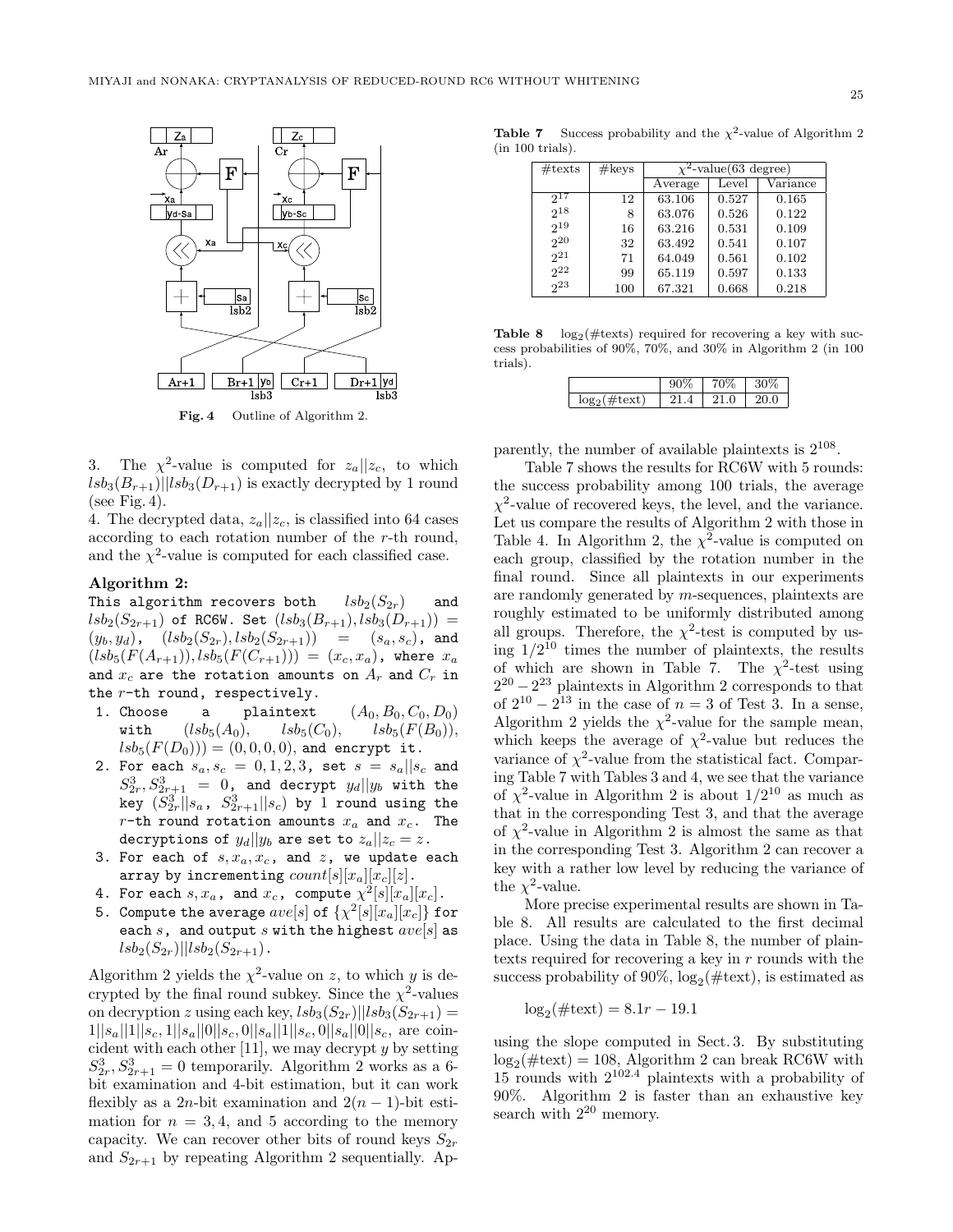

**Fig. 4** Outline of Algorithm 2.

3. The  $\chi^2$ -value is computed for  $z_a||z_c$ , to which  $lsb_3(B_{r+1})||lsb_3(D_{r+1})$  is exactly decrypted by 1 round (see Fig. 4).

4. The decrypted data,  $z_a||z_c$ , is classified into 64 cases according to each rotation number of the r-th round, and the  $\chi^2$ -value is computed for each classified case.

# **Algorithm 2:**

This algorithm recovers both  $lsb_2(S_{2r})$  and  $lsb_2(S_{2r+1})$  of RC6W. Set  $(lsb_3(B_{r+1}), lsb_3(D_{r+1})) =$  $(y_b, y_d)$ ,  $(lsb_2(S_{2r}), lsb_2(S_{2r+1}))$  =  $(s_a, s_c)$ , and  $(lsb_{5}(F(A_{r+1})), lsb_{5}(F(C_{r+1}))) = (x_c, x_a)$ , where  $x_a$ and  $x_c$  are the rotation amounts on  $A_r$  and  $C_r$  in the  $r$ -th round, respectively.

- 1. Choose a plaintext  $(A_0, B_0, C_0, D_0)$ with  $(lsb_5(A_0), \, lsb_5(C_0), \, lsb_5(F(B_0)),$  $lsb_5(F(D_0))) = (0, 0, 0, 0)$ , and encrypt it.
- 2. For each  $s_a, s_c = 0, 1, 2, 3$ , set  $s = s_a || s_c$  and  $S_2^3, S_{2r+1}^3 = 0$ , and decrypt  $y_d || y_b$  with the  $\ker \left( \tilde{S}_{2r}^{3}||s_{a}, S_{2r+1}^{3}||s_{c} \right)$  by 1 round using the  $r$ -th round rotation amounts  $x_a$  and  $x_c$ . The decryptions of  $y_d||y_b$  are set to  $z_a||z_c = z$ .
- 3. For each of  $s, x_a, x_c$ , and  $z$ , we update each array by incrementing  $count[s][x_a][x_c][z]$ .
- 4. For each  $s, x_a$ , and  $x_c$ , compute  $\chi^2[s][x_a][x_c]$ .
- 5. Compute the average  $ave[s]$  of  $\{\chi^2[s][x_a][x_c]\}$  for each s, and output s with the highest  $ave[s]$  as  $lsb_2(S_{2r})$ || $lsb_2(S_{2r+1})$ .

Algorithm 2 yields the  $\chi^2$ -value on z, to which y is decrypted by the final round subkey. Since the  $\chi^2$ -values on decryption z using each key,  $lsb_3(S_{2r})||lsb_3(S_{2r+1}) =$  $1||s_a||1||s_c, 1||s_a||0||s_c, 0||s_a||1||s_c, 0||s_a||0||s_c$ , are coincident with each other  $[11]$ , we may decrypt y by setting  $S_2^3$ ,  $S_{2r+1}^3 = 0$  temporarily. Algorithm 2 works as a 6bit examination and 4-bit estimation, but it can work flexibly as a 2*n*-bit examination and  $2(n-1)$ -bit estimation for  $n = 3, 4$ , and 5 according to the memory capacity. We can recover other bits of round keys  $S_{2r}$ and  $S_{2r+1}$  by repeating Algorithm 2 sequentially. Ap-

**Table 7** Success probability and the  $\chi^2$ -value of Algorithm 2 (in 100 trials).

| $\#\text{texts}$ | #keys | $\chi^2$ -value(63 degree) |       |          |  |  |
|------------------|-------|----------------------------|-------|----------|--|--|
|                  |       | Average                    | Level | Variance |  |  |
| 917              | 12    | 63.106                     | 0.527 | 0.165    |  |  |
| $2^{18}$         | 8     | 63.076                     | 0.526 | 0.122    |  |  |
| $2^{19}$         | 16    | 63.216                     | 0.531 | 0.109    |  |  |
| $2^{20}$         | 32    | 63.492                     | 0.541 | 0.107    |  |  |
| $2^{21}$         | 71    | 64.049                     | 0.561 | 0.102    |  |  |
| $2^{22}$         | 99    | 65.119                     | 0.597 | 0.133    |  |  |
| 2 <sup>23</sup>  | 100   | 67.321                     | 0.668 | 0.218    |  |  |

**Table 8**  $log_2(\# \text{tests})$  required for recovering a key with success probabilities of 90%, 70%, and 30% in Algorithm 2 (in 100 trials).

|             | $\sim$ | /⊤۰<br>v | 70      |
|-------------|--------|----------|---------|
| .001<br>ext |        |          | 0<br>20 |

parently, the number of available plaintexts is  $2^{108}$ .

Table 7 shows the results for RC6W with 5 rounds: the success probability among 100 trials, the average  $\chi^2$ -value of recovered keys, the level, and the variance. Let us compare the results of Algorithm 2 with those in Table 4. In Algorithm 2, the  $\chi^2$ -value is computed on each group, classified by the rotation number in the final round. Since all plaintexts in our experiments are randomly generated by m-sequences, plaintexts are roughly estimated to be uniformly distributed among all groups. Therefore, the  $\chi^2$ -test is computed by using  $1/2^{10}$  times the number of plaintexts, the results of which are shown in Table 7. The  $\chi^2$ -test using  $2^{20} - 2^{23}$  plaintexts in Algorithm 2 corresponds to that of  $2^{10} - 2^{13}$  in the case of  $n = 3$  of Test 3. In a sense, Algorithm 2 yields the  $\chi^2$ -value for the sample mean, which keeps the average of  $\chi^2$ -value but reduces the variance of  $\chi^2$ -value from the statistical fact. Comparing Table 7 with Tables 3 and 4, we see that the variance of  $\chi^2$ -value in Algorithm 2 is about  $1/2^{10}$  as much as that in the corresponding Test 3, and that the average of  $\chi^2$ -value in Algorithm 2 is almost the same as that in the corresponding Test 3. Algorithm 2 can recover a key with a rather low level by reducing the variance of the  $\chi^2$ -value.

More precise experimental results are shown in Table 8. All results are calculated to the first decimal place. Using the data in Table 8, the number of plaintexts required for recovering a key in  $r$  rounds with the success probability of 90%,  $log_2(\#text{text})$ , is estimated as

$$
\log_2(\#text{text}) = 8.1r - 19.1
$$

using the slope computed in Sect. 3. By substituting  $\log_2(\text{\#textext}) = 108$ , Algorithm 2 can break RC6W with  $15$  rounds with  $2^{102.4}$  plaintexts with a probability of 90%. Algorithm 2 is faster than an exhaustive key search with  $2^{20}$  memory.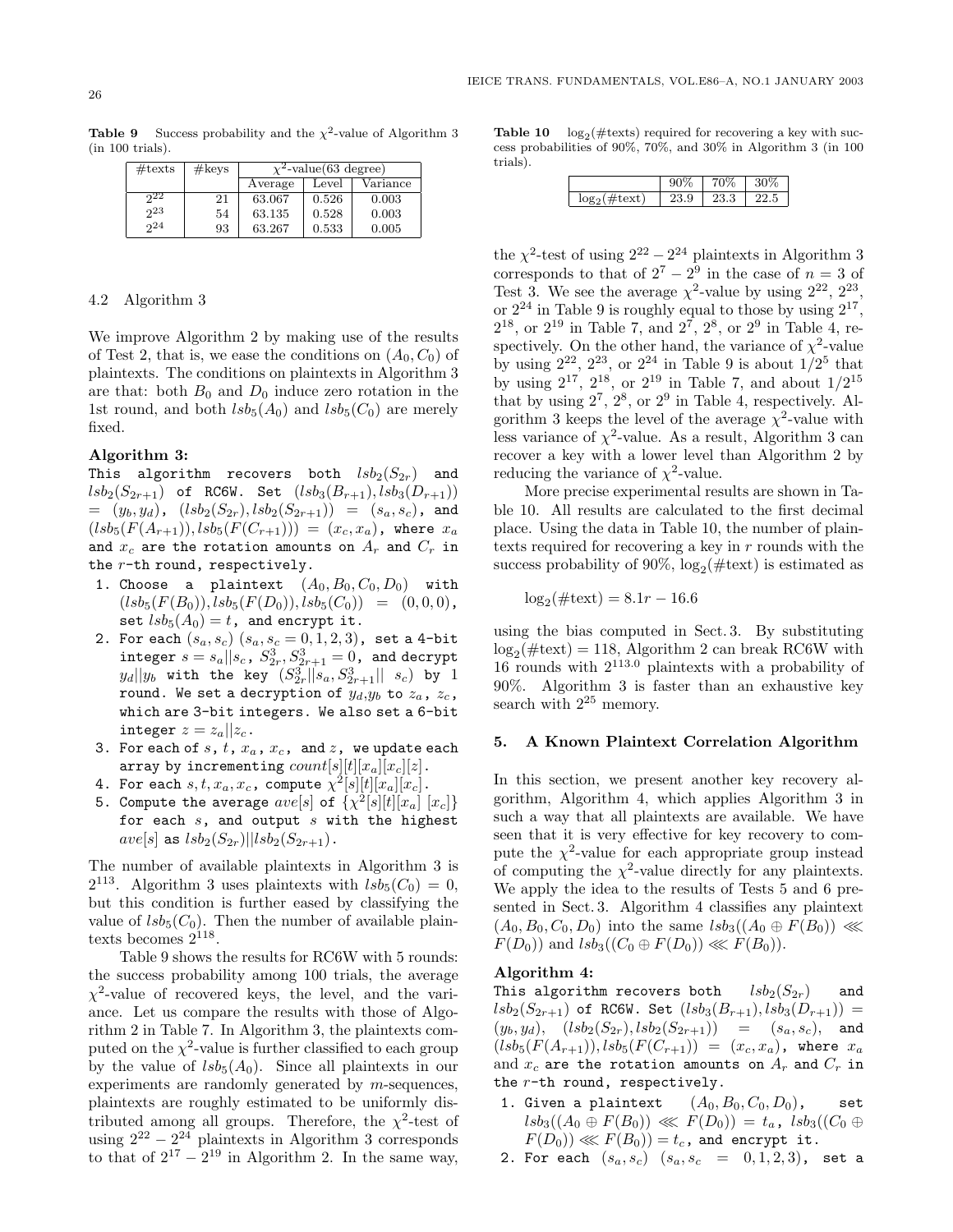**Table 9** Success probability and the  $\chi^2$ -value of Algorithm 3 (in 100 trials).

| $\#\text{texts}$ | #keys | $\chi^2$ -value(63 degree) |       |          |  |  |
|------------------|-------|----------------------------|-------|----------|--|--|
|                  |       | Average                    | Level | Variance |  |  |
| 922              | 21    | 63.067                     | 0.526 | 0.003    |  |  |
| 23               | 54    | 63.135                     | 0.528 | 0.003    |  |  |
| 2 <sub>4</sub>   | 93    | 63.267                     | 0.533 | 0.005    |  |  |

# 4.2 Algorithm 3

We improve Algorithm 2 by making use of the results of Test 2, that is, we ease the conditions on  $(A_0, C_0)$  of plaintexts. The conditions on plaintexts in Algorithm 3 are that: both  $B_0$  and  $D_0$  induce zero rotation in the 1st round, and both  $lsb_5(A_0)$  and  $lsb_5(C_0)$  are merely fixed.

# **Algorithm 3:**

This algorithm recovers both  $lsb_2(S_{2r})$  and  $lsb_2(S_{2r+1})$  of RC6W. Set  $(lsb_3(B_{r+1}), lsb_3(D_{r+1}))$  $=(y_b, y_d)$ ,  $(lsb_2(S_{2r}), lsb_2(S_{2r+1})) = (s_a, s_c)$ , and  $(lsb_{5}(F(A_{r+1})), lsb_{5}(F(C_{r+1}))) = (x_c, x_a)$ , where  $x_a$ and  $x_c$  are the rotation amounts on  $A_r$  and  $C_r$  in the  $r$ -th round, respectively.

- 1. Choose a plaintext  $(A_0, B_0, C_0, D_0)$  with  $(lsb_5(F(B_0)), lsb_5(F(D_0)), lsb_5(C_0)) = (0, 0, 0),$ set  $lsb_5(A_0)=t$ , and encrypt it.
- 2. For each  $(s_a, s_c)$   $(s_a, s_c = 0, 1, 2, 3)$ , set a 4-bit  ${\tt integer} \,\, s = s_a || s_c^{\phantom{a}}, S_{2r}^3, S_{2r+1}^3 = 0$ , and decrypt  $||y_b||$  with the key  $(S_{2r}^3||s_a, S_{2r+1}^3||s_c)$  by 1 round. We set a decryption of  $y_d, y_b$  to  $z_a$ ,  $z_c$ , which are 3-bit integers. We also set a 6-bit integer  $z = z_a || z_c$ .
- 3. For each of  $s$ ,  $t$ ,  $x_a$ ,  $x_c$ , and  $z$ , we update each array by incrementing  $count[s||t||x_a||x_c||z]$ .
- 4. For each  $s, t, x_a, x_c$ , compute  $\chi^2[s][t][x_a][x_c]$ .
- 5. Compute the average  $ave[s]$  of  $\{\chi^2[s][t][x_a] [x_c]\}$ for each  $s$ , and output  $s$  with the highest  $ave[s]$  as  $lsb<sub>2</sub>(S<sub>2r</sub>)||lsb<sub>2</sub>(S<sub>2r+1</sub>)$ .

The number of available plaintexts in Algorithm 3 is  $2^{113}$ . Algorithm 3 uses plaintexts with  $lsb_5(C_0) = 0$ , but this condition is further eased by classifying the value of  $lsb<sub>5</sub>(C<sub>0</sub>)$ . Then the number of available plaintexts becomes  $2^{118}$ .

Table 9 shows the results for RC6W with 5 rounds: the success probability among 100 trials, the average  $\chi^2$ -value of recovered keys, the level, and the variance. Let us compare the results with those of Algorithm 2 in Table 7. In Algorithm 3, the plaintexts computed on the  $\chi^2$ -value is further classified to each group by the value of  $lsb<sub>5</sub>(A<sub>0</sub>)$ . Since all plaintexts in our experiments are randomly generated by m-sequences, plaintexts are roughly estimated to be uniformly distributed among all groups. Therefore, the  $\chi^2$ -test of using  $2^{22} - 2^{24}$  plaintexts in Algorithm 3 corresponds to that of  $2^{17} - 2^{19}$  in Algorithm 2. In the same way,

**Table 10**  $log_2$  (#texts) required for recovering a key with success probabilities of 90%, 70%, and 30% in Algorithm 3 (in 100 trials).

| Q<br>.י | ∍<br>23.3 |  |
|---------|-----------|--|

the  $\chi^2$ -test of using  $2^{22} - 2^{24}$  plaintexts in Algorithm 3 corresponds to that of  $2^7 - 2^9$  in the case of  $n = 3$  of Test 3. We see the average  $\chi^2$ -value by using  $2^{22}$ ,  $2^{23}$ , or  $2^{24}$  in Table 9 is roughly equal to those by using  $2^{17}$ ,  $2^{18}$ , or  $2^{19}$  in Table 7, and  $2^{7}$ ,  $2^{8}$ , or  $2^{9}$  in Table 4, respectively. On the other hand, the variance of  $\chi^2$ -value by using  $2^{22}$ ,  $2^{23}$ , or  $2^{24}$  in Table 9 is about  $1/2^5$  that by using  $2^{17}$ ,  $2^{18}$ , or  $2^{19}$  in Table 7, and about  $1/2^{15}$ that by using  $2^7$ ,  $2^8$ , or  $2^9$  in Table 4, respectively. Algorithm 3 keeps the level of the average  $\chi^2$ -value with less variance of  $\chi^2$ -value. As a result, Algorithm 3 can recover a key with a lower level than Algorithm 2 by reducing the variance of  $\chi^2$ -value.

More precise experimental results are shown in Table 10. All results are calculated to the first decimal place. Using the data in Table 10, the number of plaintexts required for recovering a key in  $r$  rounds with the success probability of 90%,  $\log_2(\text{\#textext})$  is estimated as

$$
\log_2(\#text{text}) = 8.1r - 16.6
$$

using the bias computed in Sect. 3. By substituting  $\log_2(\text{\#textext}) = 118$ , Algorithm 2 can break RC6W with 16 rounds with 2113*.*<sup>0</sup> plaintexts with a probability of 90%. Algorithm 3 is faster than an exhaustive key search with  $2^{25}$  memory.

### **5. A Known Plaintext Correlation Algorithm**

In this section, we present another key recovery algorithm, Algorithm 4, which applies Algorithm 3 in such a way that all plaintexts are available. We have seen that it is very effective for key recovery to compute the  $\chi^2$ -value for each appropriate group instead of computing the  $\chi^2$ -value directly for any plaintexts. We apply the idea to the results of Tests 5 and 6 presented in Sect. 3. Algorithm 4 classifies any plaintext  $(A_0, B_0, C_0, D_0)$  into the same  $lsb_3((A_0 \oplus F(B_0))) \ll \infty$  $F(D_0)$  and  $lsb_3((C_0 \oplus F(D_0)) \lll F(B_0)).$ 

### **Algorithm 4:**

This algorithm recovers both  $lsb_2(S_{2r})$  and  $lsb_2(S_{2r+1})$  of RC6W. Set  $(lsb_3(B_{r+1}), lsb_3(D_{r+1})) =$  $(y_b, y_d), (lsb_2(S_{2r}), lsb_2(S_{2r+1})) = (s_a, s_c),$  and  $(lsb_{5}(F(A_{r+1})), lsb_{5}(F(C_{r+1})) = (x_{c}, x_{a})$ , where  $x_{a}$ and  $x_c$  are the rotation amounts on  $A_r$  and  $C_r$  in the  $r$ -th round, respectively.

- 1. Given a plaintext  $(A_0, B_0, C_0, D_0)$ , set  $lsb_3((A_0 \oplus F(B_0)) \ll F(D_0)) = t_a$ ,  $lsb_3((C_0 \oplus$  $F(D_0)) \lll F(B_0) = t_c$ , and encrypt it.
- 2. For each  $(s_a, s_c)$   $(s_a, s_c)$  = 0, 1, 2, 3), set a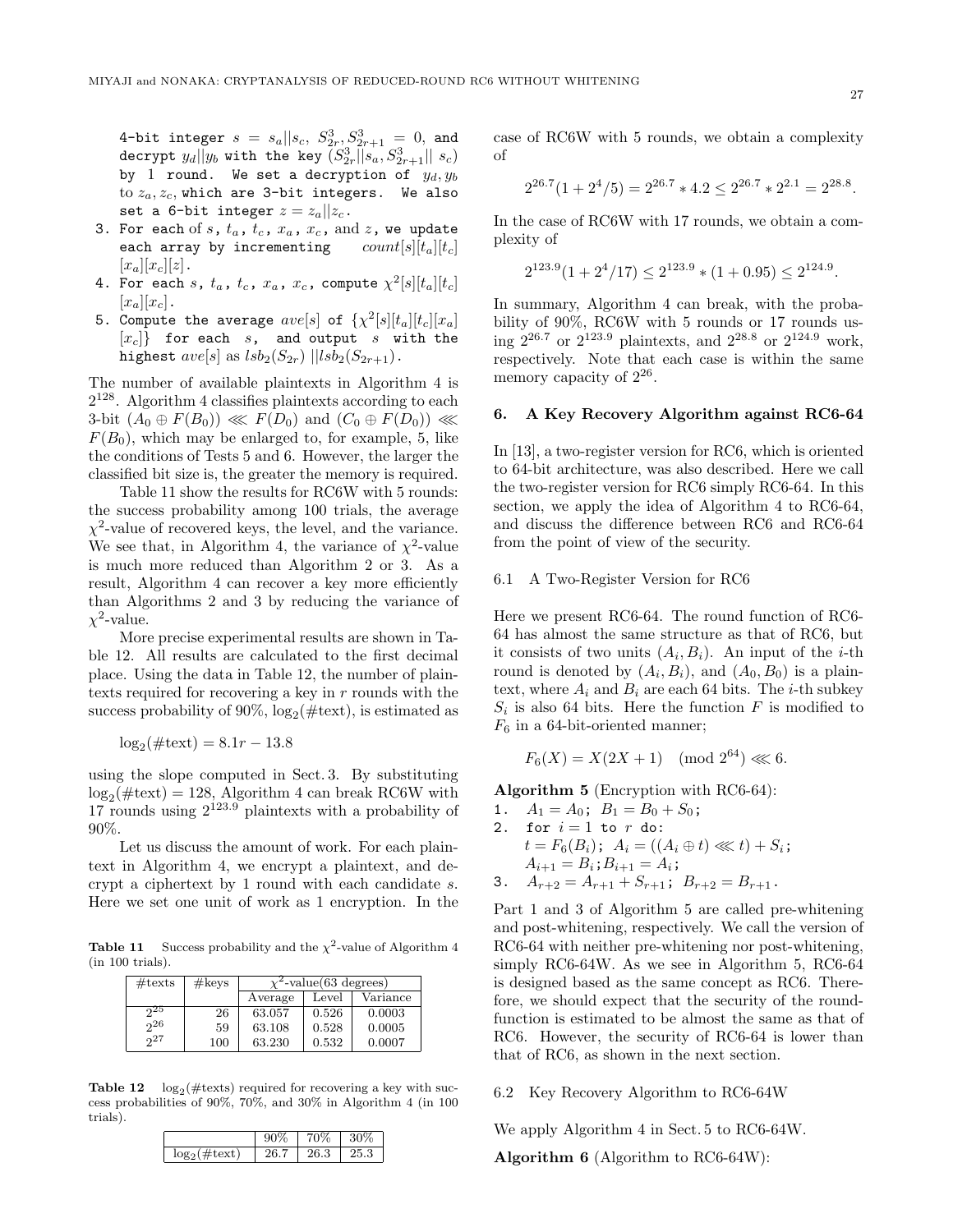4-bit integer  $s = s_a || s_c, S_{2r}^3, S_{2r+1}^3 = 0$ , and decrypt  $y_d$  || $y_b$  with the key  $(S_{2r}^3||s_a, S_{2r+1}^3||s_c)$ by 1 round. We set a decryption of y*d*, y*<sup>b</sup>* to z*a*, z*c*, which are 3-bit integers. We also set a 6-bit integer  $z = z_a || z_c$ .

- 3. For each of  $s$ ,  $t_a$ ,  $t_c$ ,  $x_a$ ,  $x_c$ , and  $z$ , we update each array by incrementing  $count[s][t_a][t_c]$  $[x_a][x_c][z]$ .
- 4. For each s,  $t_a$ ,  $t_c$ ,  $x_a$ ,  $x_c$ , compute  $\chi^2[s][t_a][t_c]$  $[x_a][x_c]$ .
- 5. Compute the average  $ave[s]$  of  $\{\chi^2[s][t_a][t_c][x_a]$ [x*c*]} for each s, and output s with the highest  $ave[s]$  as  $lsb_2(S_{2r})$   $||lsb_2(S_{2r+1})$ .

The number of available plaintexts in Algorithm 4 is  $2^{128}$ . Algorithm 4 classifies plaintexts according to each 3-bit  $(A_0 \oplus F(B_0)) \ll F(D_0)$  and  $(C_0 \oplus F(D_0)) \ll$  $F(B_0)$ , which may be enlarged to, for example, 5, like the conditions of Tests 5 and 6. However, the larger the classified bit size is, the greater the memory is required.

Table 11 show the results for RC6W with 5 rounds: the success probability among 100 trials, the average  $\chi^2$ -value of recovered keys, the level, and the variance. We see that, in Algorithm 4, the variance of  $\chi^2$ -value is much more reduced than Algorithm 2 or 3. As a result, Algorithm 4 can recover a key more efficiently than Algorithms 2 and 3 by reducing the variance of  $\chi^2$ -value.

More precise experimental results are shown in Table 12. All results are calculated to the first decimal place. Using the data in Table 12, the number of plaintexts required for recovering a key in  $r$  rounds with the success probability of 90%,  $log_2(\#text{text})$ , is estimated as

$$
\log_2(\#text{text}) = 8.1r - 13.8
$$

using the slope computed in Sect. 3. By substituting  $\log_2(\text{\#textext}) = 128$ , Algorithm 4 can break RC6W with 17 rounds using 2123*.*<sup>9</sup> plaintexts with a probability of 90%.

Let us discuss the amount of work. For each plaintext in Algorithm 4, we encrypt a plaintext, and decrypt a ciphertext by 1 round with each candidate s. Here we set one unit of work as 1 encryption. In the

**Table 11** Success probability and the  $\chi^2$ -value of Algorithm 4 (in 100 trials).

| $\#\text{texts}$ | #keys | $\chi^2$ -value(63 degrees) |       |          |  |
|------------------|-------|-----------------------------|-------|----------|--|
|                  |       | Average                     | Level | Variance |  |
| 25               | 26    | 63.057                      | 0.526 | 0.0003   |  |
| 26               | 59    | 63.108                      | 0.528 | 0.0005   |  |
| 27               | 100   | 63.230                      | 0.532 | 0.0007   |  |

**Table 12**  $log_2(\#textext{s})$  required for recovering a key with success probabilities of 90%, 70%, and 30% in Algorithm 4 (in 100 trials).

|                              | 90% | '0%  | 30%  |
|------------------------------|-----|------|------|
| $#text{text})$<br>$\log_{2}$ | 26. | 26.3 | 25.3 |

case of RC6W with 5 rounds, we obtain a complexity of

$$
2^{26.7}(1+2^4/5) = 2^{26.7} * 4.2 \le 2^{26.7} * 2^{2.1} = 2^{28.8}.
$$

In the case of RC6W with 17 rounds, we obtain a complexity of

$$
2^{123.9}(1+2^4/17) \le 2^{123.9} * (1+0.95) \le 2^{124.9}.
$$

In summary, Algorithm 4 can break, with the probability of 90%, RC6W with 5 rounds or 17 rounds using 226*.*<sup>7</sup> or 2123*.*<sup>9</sup> plaintexts, and 228*.*<sup>8</sup> or 2124*.*<sup>9</sup> work, respectively. Note that each case is within the same memory capacity of  $2^{26}$ .

#### **6. A Key Recovery Algorithm against RC6-64**

In [13], a two-register version for RC6, which is oriented to 64-bit architecture, was also described. Here we call the two-register version for RC6 simply RC6-64. In this section, we apply the idea of Algorithm 4 to RC6-64, and discuss the difference between RC6 and RC6-64 from the point of view of the security.

# 6.1 A Two-Register Version for RC6

Here we present RC6-64. The round function of RC6- 64 has almost the same structure as that of RC6, but it consists of two units  $(A_i, B_i)$ . An input of the *i*-th round is denoted by  $(A_i, B_i)$ , and  $(A_0, B_0)$  is a plaintext, where  $A_i$  and  $B_i$  are each 64 bits. The *i*-th subkey  $S_i$  is also 64 bits. Here the function  $F$  is modified to  $F_6$  in a 64-bit-oriented manner;

$$
F_6(X) = X(2X + 1) \pmod{2^{64}} \ll 6.
$$

**Algorithm 5** (Encryption with RC6-64):

1.  $A_1 = A_0$ ;  $B_1 = B_0 + S_0$ ; 2. for  $i = 1$  to r do:  $t = F_6(B_i);$   $A_i = ((A_i \oplus t) \ll t) + S_i;$  $A_{i+1} = B_i$ ;  $B_{i+1} = A_i$ ; 3.  $A_{r+2} = A_{r+1} + S_{r+1}$ ;  $B_{r+2} = B_{r+1}$ .

Part 1 and 3 of Algorithm 5 are called pre-whitening and post-whitening, respectively. We call the version of RC6-64 with neither pre-whitening nor post-whitening, simply RC6-64W. As we see in Algorithm 5, RC6-64 is designed based as the same concept as RC6. Therefore, we should expect that the security of the roundfunction is estimated to be almost the same as that of RC6. However, the security of RC6-64 is lower than that of RC6, as shown in the next section.

# 6.2 Key Recovery Algorithm to RC6-64W

We apply Algorithm 4 in Sect. 5 to RC6-64W.

**Algorithm 6** (Algorithm to RC6-64W):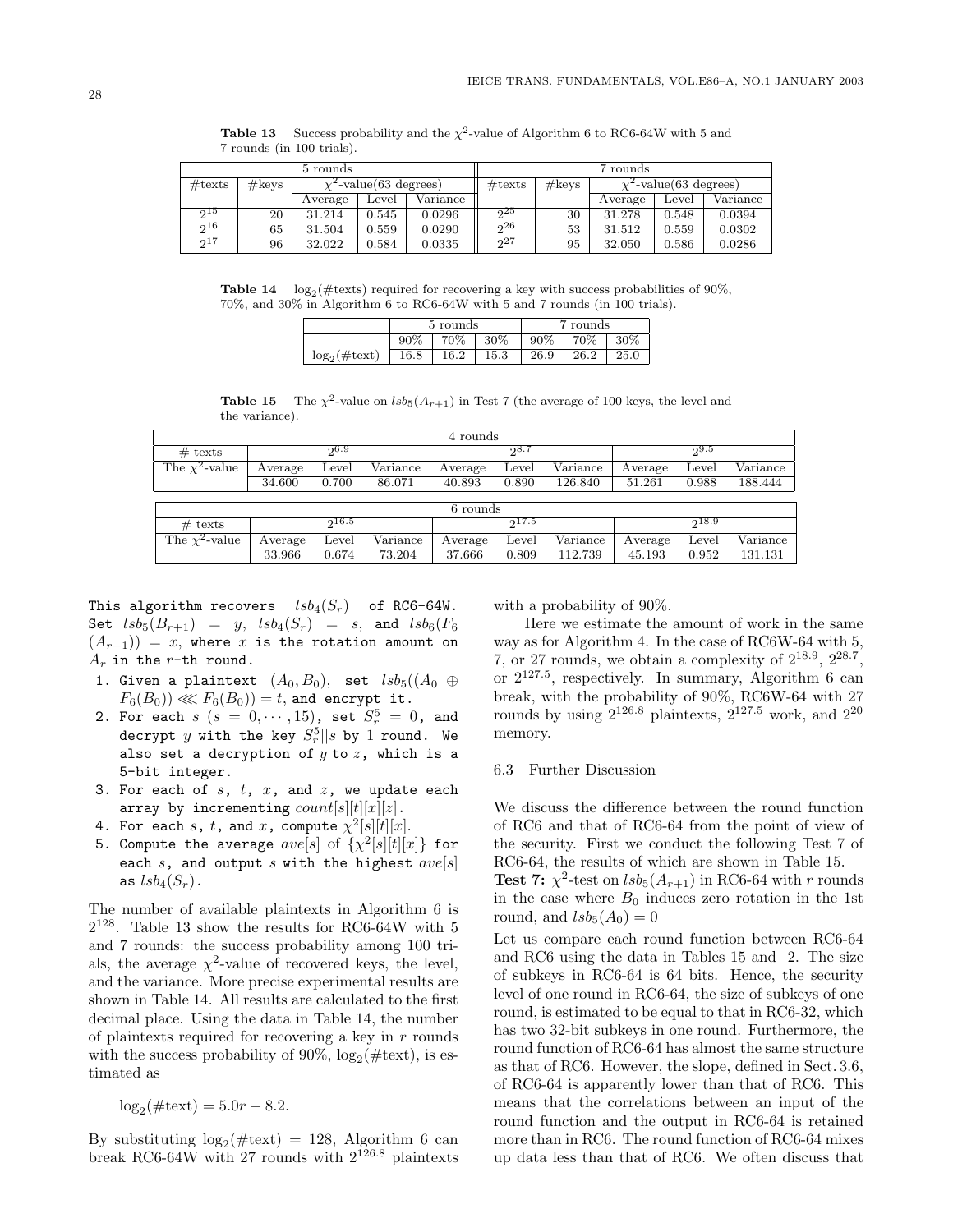| 5 rounds         |                   |                             |       | 7 rounds |                  |       |                             |       |          |
|------------------|-------------------|-----------------------------|-------|----------|------------------|-------|-----------------------------|-------|----------|
| $\#\text{texts}$ | $\#\mathrm{keys}$ | $\chi^2$ -value(63 degrees) |       |          | $\#\text{texts}$ | #keys | $\chi^2$ -value(63 degrees) |       |          |
|                  |                   | Average                     | Level | Variance |                  |       | Average                     | Level | Variance |
| 9 <sup>15</sup>  | 20                | 31.214                      | 0.545 | 0.0296   | 25               | 30    | 31.278                      | 0.548 | 0.0394   |
| 216              | 65                | 31.504                      | 0.559 | 0.0290   | $2^{26}$         | 53    | 31.512                      | 0.559 | 0.0302   |
| $2^{17}$         | 96                | 32.022                      | 0.584 | 0.0335   | $2^{27}$         | 95    | 32.050                      | 0.586 | 0.0286   |

**Table 13** Success probability and the  $\chi^2$ -value of Algorithm 6 to RC6-64W with 5 and 7 rounds (in 100 trials).

**Table 14**  $log_2(\text{\#tests})$  required for recovering a key with success probabilities of 90%, 70%, and 30% in Algorithm 6 to RC6-64W with 5 and 7 rounds (in 100 trials).

|                            |        | 5 rounds |          | rounds |      |      |  |
|----------------------------|--------|----------|----------|--------|------|------|--|
|                            | $90\%$ | 70%      | 30%<br>Ш | $90\%$ | 70%  | 30%  |  |
| $\log_2(\#texttext{text})$ | 16.8   | $16.2\,$ | 15.3     | 26.9   | 26.2 | 25.0 |  |

**Table 15** The  $\chi^2$ -value on  $\text{lsb}_5(A_{r+1})$  in Test 7 (the average of 100 keys, the level and the variance).

| 4 rounds            |         |       |          |          |       |          |         |       |          |
|---------------------|---------|-------|----------|----------|-------|----------|---------|-------|----------|
| $#$ texts           |         | 96.9  |          |          | 28.7  |          |         | 99.5  |          |
| The $\chi^2$ -value | Average | Level | Variance | Average  | Level | Variance | Average | Level | Variance |
|                     | 34.600  | 0.700 | 86.071   | 40.893   | 0.890 | 126.840  | 51.261  | 0.988 | 188.444  |
|                     |         |       |          |          |       |          |         |       |          |
|                     |         |       |          | 6 rounds |       |          |         |       |          |
| $#$ texts           |         | 216.5 |          |          | 917.5 |          |         | 218.9 |          |
| The $\chi^2$ -value | Average | Level | Variance | Average  | Level | Variance | Average | Level | Variance |
|                     | 33.966  | 0.674 | 73.204   | 37.666   | 0.809 | 112.739  | 45.193  | 0.952 | 131.131  |

This algorithm recovers  $lsb_4(S_r)$  of RC6-64W. Set  $lsb_5(B_{r+1}) = y$ ,  $lsb_4(S_r) = s$ , and  $lsb_6(F_6)$  $(A_{r+1})$  = x, where x is the rotation amount on  $A_r$  in the  $r$ -th round.

- 1. Given a plaintext  $(A_0, B_0)$ , set  $lsb_5((A_0 \oplus$  $F_6(B_0)) \lll F_6(B_0)) = t$ , and encrypt it.
- 2. For each  $s$  ( $s = 0, \cdots, 15$ ), set  $S_r^5 = 0$ , and decrypt  $y$  with the key  $S_{r}^{5}||s$  by  $1$  round. We also set a decryption of  $y$  to  $z$ , which is a 5-bit integer.
- 3. For each of  $s$ ,  $t$ ,  $x$ , and  $z$ , we update each array by incrementing  $count[s||t||x||z]$ .
- 4. For each s, t, and x, compute  $\chi^2[s][t][x]$ .
- 5. Compute the average  $ave[s]$  of  $\{\chi^2[s][t][x]\}$  for each  $s$ , and output  $s$  with the highest  $ave[s]$ as  $lsb_4(S_r)$ .

The number of available plaintexts in Algorithm 6 is  $2^{128}.$  Table 13 show the results for RC6-64W with  $5\,$ and 7 rounds: the success probability among 100 trials, the average  $\chi^2$ -value of recovered keys, the level, and the variance. More precise experimental results are shown in Table 14. All results are calculated to the first decimal place. Using the data in Table 14, the number of plaintexts required for recovering a key in  $r$  rounds with the success probability of 90%,  $log_2(\text{\#textext})$ , is estimated as

$$
\log_2(\#text{text}) = 5.0r - 8.2.
$$

By substituting  $log_2(\#text{text}) = 128$ , Algorithm 6 can break RC6-64W with 27 rounds with 2126*.*<sup>8</sup> plaintexts with a probability of 90%.

Here we estimate the amount of work in the same way as for Algorithm 4. In the case of RC6W-64 with 5, 7, or 27 rounds, we obtain a complexity of  $2^{18.9}$ ,  $2^{28.7}$ , or  $2^{127.5}$ , respectively. In summary, Algorithm 6 can break, with the probability of 90%, RC6W-64 with 27 rounds by using  $2^{126.8}$  plaintexts,  $2^{127.5}$  work, and  $2^{20}$ memory.

# 6.3 Further Discussion

We discuss the difference between the round function of RC6 and that of RC6-64 from the point of view of the security. First we conduct the following Test 7 of RC6-64, the results of which are shown in Table 15.

**Test 7:**  $\chi^2$ -test on  $lsb_5(A_{r+1})$  in RC6-64 with r rounds in the case where  $B_0$  induces zero rotation in the 1st round, and  $lsb<sub>5</sub>(A<sub>0</sub>)=0$ 

Let us compare each round function between RC6-64 and RC6 using the data in Tables 15 and 2. The size of subkeys in RC6-64 is 64 bits. Hence, the security level of one round in RC6-64, the size of subkeys of one round, is estimated to be equal to that in RC6-32, which has two 32-bit subkeys in one round. Furthermore, the round function of RC6-64 has almost the same structure as that of RC6. However, the slope, defined in Sect. 3.6, of RC6-64 is apparently lower than that of RC6. This means that the correlations between an input of the round function and the output in RC6-64 is retained more than in RC6. The round function of RC6-64 mixes up data less than that of RC6. We often discuss that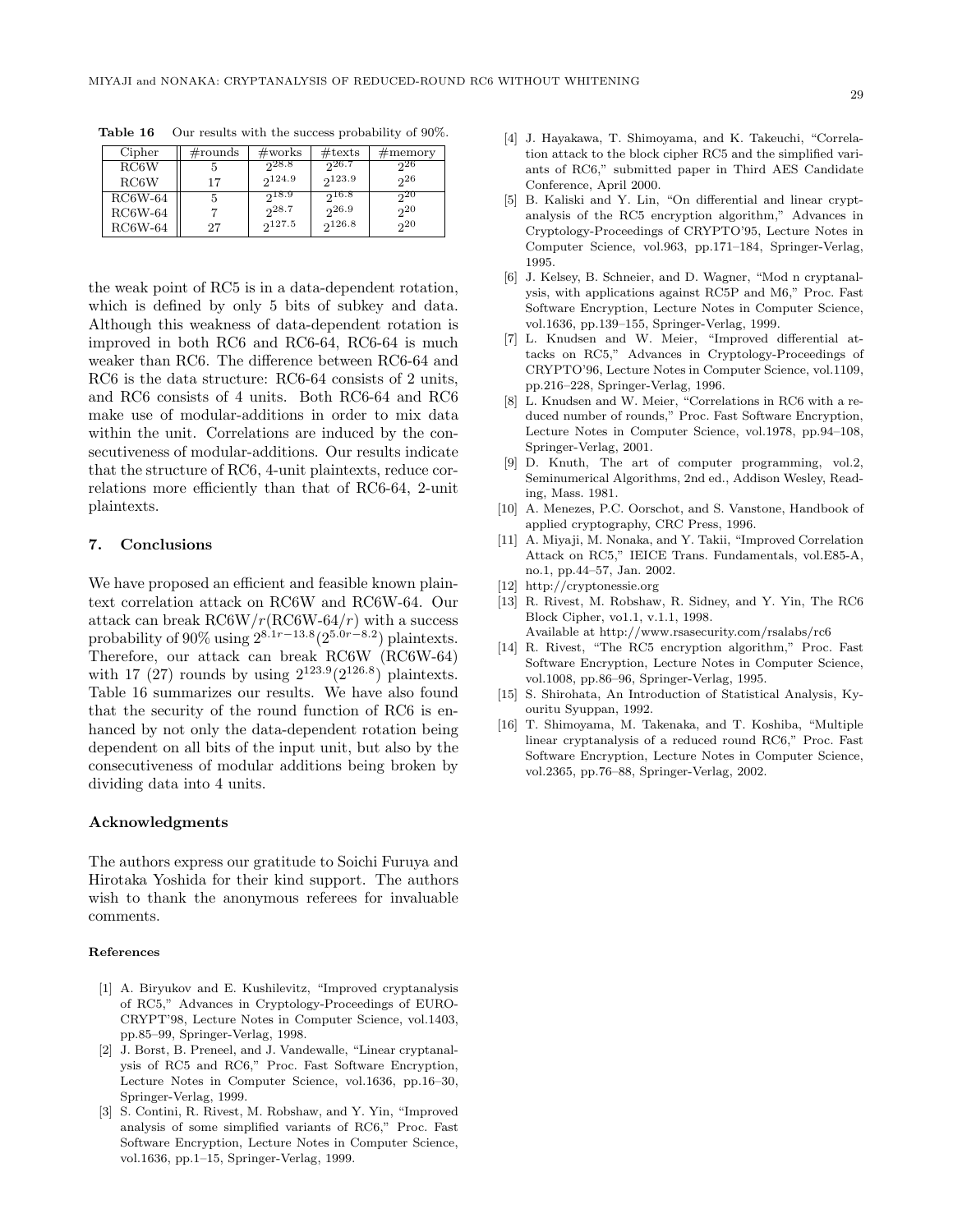| Cipher    | $\#\text{rounds}$ | $\#\text{works}$ | $\#$ texts | $\#$ memory |
|-----------|-------------------|------------------|------------|-------------|
| RC6W      |                   | 28.8             | -926.7     | 26          |
| RC6W      | 17                | 2124.9           | 2123.9     | 26          |
| $RC6W-64$ |                   | $2^{18.9}$       | 216.8      | 20          |
| $RC6W-64$ |                   | 28.7             | 26.9       | 20          |
| $RC6W-64$ | 27                | 9127.5           | 2126.8     | $2^{20}$    |

**Table 16** Our results with the success probability of 90%.

the weak point of RC5 is in a data-dependent rotation, which is defined by only 5 bits of subkey and data. Although this weakness of data-dependent rotation is improved in both RC6 and RC6-64, RC6-64 is much weaker than RC6. The difference between RC6-64 and RC6 is the data structure: RC6-64 consists of 2 units, and RC6 consists of 4 units. Both RC6-64 and RC6 make use of modular-additions in order to mix data within the unit. Correlations are induced by the consecutiveness of modular-additions. Our results indicate that the structure of RC6, 4-unit plaintexts, reduce correlations more efficiently than that of RC6-64, 2-unit plaintexts.

#### **7. Conclusions**

We have proposed an efficient and feasible known plaintext correlation attack on RC6W and RC6W-64. Our attack can break  $\frac{RCGW}{r}(\frac{RCGW-64}{r})$  with a success probability of 90% using  $2^{8.1r-13.8}(2^{5.0r-8.2})$  plaintexts. Therefore, our attack can break RC6W (RC6W-64) with 17 (27) rounds by using  $2^{123.9}(2^{126.8})$  plaintexts. Table 16 summarizes our results. We have also found that the security of the round function of RC6 is enhanced by not only the data-dependent rotation being dependent on all bits of the input unit, but also by the consecutiveness of modular additions being broken by dividing data into 4 units.

#### **Acknowledgments**

The authors express our gratitude to Soichi Furuya and Hirotaka Yoshida for their kind support. The authors wish to thank the anonymous referees for invaluable comments.

- [1] A. Biryukov and E. Kushilevitz, "Improved cryptanalysis of RC5," Advances in Cryptology-Proceedings of EURO-CRYPT'98, Lecture Notes in Computer Science, vol.1403, pp.85–99, Springer-Verlag, 1998.
- [2] J. Borst, B. Preneel, and J. Vandewalle, "Linear cryptanalysis of RC5 and RC6," Proc. Fast Software Encryption, Lecture Notes in Computer Science, vol.1636, pp.16–30, Springer-Verlag, 1999.
- [3] S. Contini, R. Rivest, M. Robshaw, and Y. Yin, "Improved analysis of some simplified variants of RC6," Proc. Fast Software Encryption, Lecture Notes in Computer Science, vol.1636, pp.1–15, Springer-Verlag, 1999.
- [4] J. Hayakawa, T. Shimoyama, and K. Takeuchi, "Correlation attack to the block cipher RC5 and the simplified variants of RC6," submitted paper in Third AES Candidate Conference, April 2000.
- [5] B. Kaliski and Y. Lin, "On differential and linear cryptanalysis of the RC5 encryption algorithm," Advances in Cryptology-Proceedings of CRYPTO'95, Lecture Notes in Computer Science, vol.963, pp.171–184, Springer-Verlag, 1995.
- [6] J. Kelsey, B. Schneier, and D. Wagner, "Mod n cryptanalysis, with applications against RC5P and M6," Proc. Fast Software Encryption, Lecture Notes in Computer Science, vol.1636, pp.139–155, Springer-Verlag, 1999.
- [7] L. Knudsen and W. Meier, "Improved differential attacks on RC5," Advances in Cryptology-Proceedings of CRYPTO'96, Lecture Notes in Computer Science, vol.1109, pp.216–228, Springer-Verlag, 1996.
- [8] L. Knudsen and W. Meier, "Correlations in RC6 with a reduced number of rounds," Proc. Fast Software Encryption, Lecture Notes in Computer Science, vol.1978, pp.94–108, Springer-Verlag, 2001.
- [9] D. Knuth, The art of computer programming, vol.2, Seminumerical Algorithms, 2nd ed., Addison Wesley, Reading, Mass. 1981.
- [10] A. Menezes, P.C. Oorschot, and S. Vanstone, Handbook of applied cryptography, CRC Press, 1996.
- [11] A. Miyaji, M. Nonaka, and Y. Takii, "Improved Correlation Attack on RC5," IEICE Trans. Fundamentals, vol.E85-A, no.1, pp.44–57, Jan. 2002.
- [12] http://cryptonessie.org
- [13] R. Rivest, M. Robshaw, R. Sidney, and Y. Yin, The RC6 Block Cipher, vo1.1, v.1.1, 1998.

Available at http://www.rsasecurity.com/rsalabs/rc6

- [14] R. Rivest, "The RC5 encryption algorithm," Proc. Fast Software Encryption, Lecture Notes in Computer Science, vol.1008, pp.86–96, Springer-Verlag, 1995.
- [15] S. Shirohata, An Introduction of Statistical Analysis, Kyouritu Syuppan, 1992.
- [16] T. Shimoyama, M. Takenaka, and T. Koshiba, "Multiple linear cryptanalysis of a reduced round RC6," Proc. Fast Software Encryption, Lecture Notes in Computer Science, vol.2365, pp.76–88, Springer-Verlag, 2002.